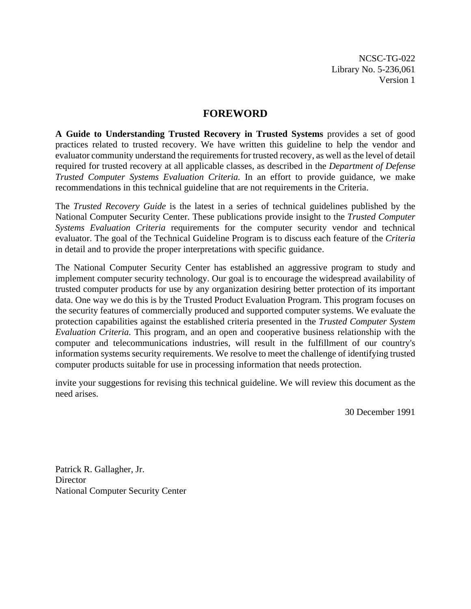NCSC-TG-022 Library No. 5-236,061 Version 1

# **FOREWORD**

**A Guide to Understanding Trusted Recovery in Trusted Systems** provides a set of good practices related to trusted recovery. We have written this guideline to help the vendor and evaluator community understand the requirements for trusted recovery, as well as the level of detail required for trusted recovery at all applicable classes, as described in the *Department of Defense Trusted Computer Systems Evaluation Criteria.* In an effort to provide guidance, we make recommendations in this technical guideline that are not requirements in the Criteria.

The *Trusted Recovery Guide* is the latest in a series of technical guidelines published by the National Computer Security Center. These publications provide insight to the *Trusted Computer Systems Evaluation Criteria* requirements for the computer security vendor and technical evaluator. The goal of the Technical Guideline Program is to discuss each feature of the *Criteria* in detail and to provide the proper interpretations with specific guidance.

The National Computer Security Center has established an aggressive program to study and implement computer security technology. Our goal is to encourage the widespread availability of trusted computer products for use by any organization desiring better protection of its important data. One way we do this is by the Trusted Product Evaluation Program. This program focuses on the security features of commercially produced and supported computer systems. We evaluate the protection capabilities against the established criteria presented in the *Trusted Computer System Evaluation Criteria.* This program, and an open and cooperative business relationship with the computer and telecommunications industries, will result in the fulfillment of our country's information systems security requirements. We resolve to meet the challenge of identifying trusted computer products suitable for use in processing information that needs protection.

invite your suggestions for revising this technical guideline. We will review this document as the need arises.

30 December 1991

Patrick R. Gallagher, Jr. **Director** National Computer Security Center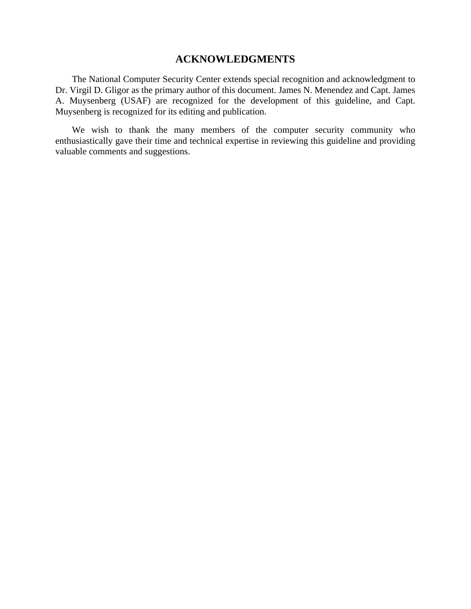## **ACKNOWLEDGMENTS**

The National Computer Security Center extends special recognition and acknowledgment to Dr. Virgil D. Gligor as the primary author of this document. James N. Menendez and Capt. James A. Muysenberg (USAF) are recognized for the development of this guideline, and Capt. Muysenberg is recognized for its editing and publication.

We wish to thank the many members of the computer security community who enthusiastically gave their time and technical expertise in reviewing this guideline and providing valuable comments and suggestions.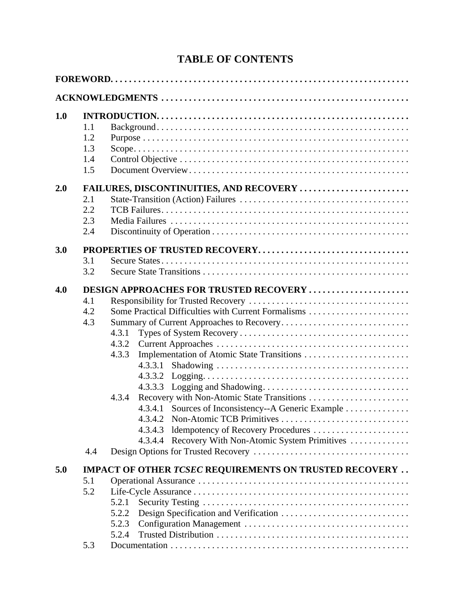# **TABLE OF CONTENTS**

| 1.0 |                                         |                                                                |  |  |  |
|-----|-----------------------------------------|----------------------------------------------------------------|--|--|--|
|     | 1.1                                     |                                                                |  |  |  |
|     | 1.2                                     |                                                                |  |  |  |
|     | 1.3                                     |                                                                |  |  |  |
|     | 1.4                                     |                                                                |  |  |  |
|     | 1.5                                     |                                                                |  |  |  |
| 2.0 | FAILURES, DISCONTINUITIES, AND RECOVERY |                                                                |  |  |  |
|     | 2.1                                     |                                                                |  |  |  |
|     | 2.2                                     |                                                                |  |  |  |
|     | 2.3                                     |                                                                |  |  |  |
|     | 2.4                                     |                                                                |  |  |  |
| 3.0 |                                         |                                                                |  |  |  |
|     | 3.1                                     |                                                                |  |  |  |
|     | 3.2                                     |                                                                |  |  |  |
| 4.0 | DESIGN APPROACHES FOR TRUSTED RECOVERY  |                                                                |  |  |  |
|     | 4.1                                     |                                                                |  |  |  |
|     | 4.2                                     | Some Practical Difficulties with Current Formalisms            |  |  |  |
|     | 4.3                                     | Summary of Current Approaches to Recovery                      |  |  |  |
|     |                                         | 4.3.1                                                          |  |  |  |
|     |                                         | 4.3.2                                                          |  |  |  |
|     |                                         | 4.3.3<br>Implementation of Atomic State Transitions            |  |  |  |
|     |                                         | 4.3.3.1                                                        |  |  |  |
|     |                                         | 4.3.3.2                                                        |  |  |  |
|     |                                         | 4.3.3.3                                                        |  |  |  |
|     |                                         | 4.3.4                                                          |  |  |  |
|     |                                         | 4.3.4.1                                                        |  |  |  |
|     |                                         | Sources of Inconsistency--A Generic Example                    |  |  |  |
|     |                                         |                                                                |  |  |  |
|     |                                         | Idempotency of Recovery Procedures<br>4.3.4.3                  |  |  |  |
|     | 4.4                                     | Recovery With Non-Atomic System Primitives<br>4.3.4.4          |  |  |  |
|     |                                         |                                                                |  |  |  |
| 5.0 |                                         | <b>IMPACT OF OTHER TCSEC REQUIREMENTS ON TRUSTED RECOVERY </b> |  |  |  |
|     | 5.1                                     |                                                                |  |  |  |
|     | 5.2                                     |                                                                |  |  |  |
|     |                                         | 5.2.1                                                          |  |  |  |
|     |                                         | 5.2.2                                                          |  |  |  |
|     |                                         | 5.2.3                                                          |  |  |  |
|     |                                         | 5.2.4                                                          |  |  |  |
|     | 5.3                                     |                                                                |  |  |  |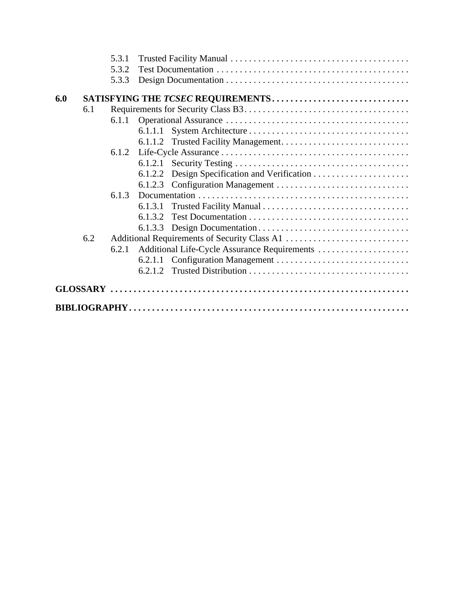|                                          | 5.3.1 |                                              |  |
|------------------------------------------|-------|----------------------------------------------|--|
|                                          | 5.3.2 |                                              |  |
|                                          | 5.3.3 |                                              |  |
|                                          |       |                                              |  |
| 6.0<br>SATISFYING THE TCSEC REQUIREMENTS |       |                                              |  |
| 6.1                                      |       |                                              |  |
|                                          | 6.1.1 |                                              |  |
|                                          |       | 6.1.1.1                                      |  |
|                                          |       |                                              |  |
|                                          | 6.1.2 |                                              |  |
|                                          |       | 6.1.2.1                                      |  |
|                                          |       | 6.1.2.2                                      |  |
|                                          |       | 6.1.2.3                                      |  |
|                                          | 6.1.3 |                                              |  |
|                                          |       | 6.1.3.1                                      |  |
|                                          |       | 6.1.3.2                                      |  |
|                                          |       | 6.1.3.3                                      |  |
| 6.2                                      |       |                                              |  |
|                                          | 6.2.1 | Additional Life-Cycle Assurance Requirements |  |
|                                          |       | 6.2.1.1                                      |  |
|                                          |       | 6.2.1.2                                      |  |
|                                          |       |                                              |  |
|                                          |       |                                              |  |
|                                          |       |                                              |  |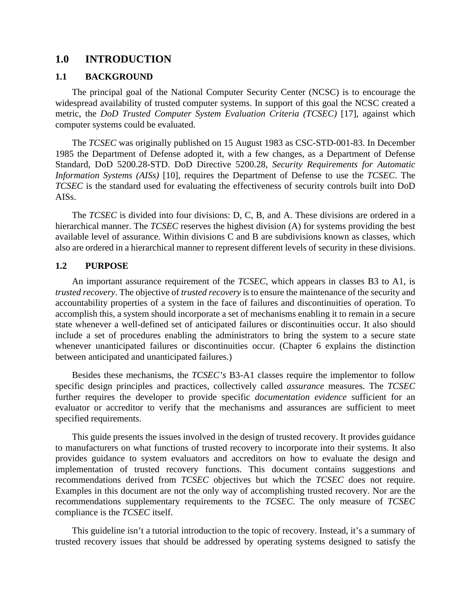## **1.0 INTRODUCTION**

## **1.1 BACKGROUND**

The principal goal of the National Computer Security Center (NCSC) is to encourage the widespread availability of trusted computer systems. In support of this goal the NCSC created a metric, the *DoD Trusted Computer System Evaluation Criteria (TCSEC)* [17], against which computer systems could be evaluated.

The *TCSEC* was originally published on 15 August 1983 as CSC-STD-001-83. In December 1985 the Department of Defense adopted it, with a few changes, as a Department of Defense Standard, DoD 5200.28-STD. DoD Directive 5200.28, *Security Requirements for Automatic Information Systems (AISs)* [10], requires the Department of Defense to use the *TCSEC*. The *TCSEC* is the standard used for evaluating the effectiveness of security controls built into DoD AISs.

The *TCSEC* is divided into four divisions: D, C, B, and A. These divisions are ordered in a hierarchical manner. The *TCSEC* reserves the highest division (A) for systems providing the best available level of assurance. Within divisions C and B are subdivisions known as classes, which also are ordered in a hierarchical manner to represent different levels of security in these divisions.

## **1.2 PURPOSE**

An important assurance requirement of the *TCSEC,* which appears in classes B3 to A1, is *trusted recovery*. The objective of *trusted recovery* is to ensure the maintenance of the security and accountability properties of a system in the face of failures and discontinuities of operation. To accomplish this, a system should incorporate a set of mechanisms enabling it to remain in a secure state whenever a well-defined set of anticipated failures or discontinuities occur. It also should include a set of procedures enabling the administrators to bring the system to a secure state whenever unanticipated failures or discontinuities occur. (Chapter 6 explains the distinction between anticipated and unanticipated failures.)

Besides these mechanisms, the *TCSEC's* B3-A1 classes require the implementor to follow specific design principles and practices, collectively called *assurance* measures. The *TCSEC* further requires the developer to provide specific *documentation evidence* sufficient for an evaluator or accreditor to verify that the mechanisms and assurances are sufficient to meet specified requirements.

This guide presents the issues involved in the design of trusted recovery. It provides guidance to manufacturers on what functions of trusted recovery to incorporate into their systems. It also provides guidance to system evaluators and accreditors on how to evaluate the design and implementation of trusted recovery functions. This document contains suggestions and recommendations derived from *TCSEC* objectives but which the *TCSEC* does not require. Examples in this document are not the only way of accomplishing trusted recovery. Nor are the recommendations supplementary requirements to the *TCSEC*. The only measure of *TCSEC* compliance is the *TCSEC* itself.

This guideline isn't a tutorial introduction to the topic of recovery. Instead, it's a summary of trusted recovery issues that should be addressed by operating systems designed to satisfy the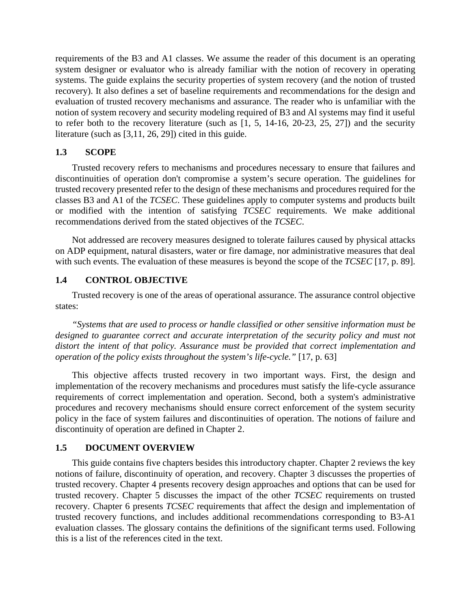requirements of the B3 and A1 classes. We assume the reader of this document is an operating system designer or evaluator who is already familiar with the notion of recovery in operating systems. The guide explains the security properties of system recovery (and the notion of trusted recovery). It also defines a set of baseline requirements and recommendations for the design and evaluation of trusted recovery mechanisms and assurance. The reader who is unfamiliar with the notion of system recovery and security modeling required of B3 and Al systems may find it useful to refer both to the recovery literature (such as [1, 5, 14-16, 20-23, 25, 27]) and the security literature (such as [3,11, 26, 29]) cited in this guide.

## **1.3 SCOPE**

Trusted recovery refers to mechanisms and procedures necessary to ensure that failures and discontinuities of operation don't compromise a system's secure operation. The guidelines for trusted recovery presented refer to the design of these mechanisms and procedures required for the classes B3 and A1 of the *TCSEC*. These guidelines apply to computer systems and products built or modified with the intention of satisfying *TCSEC* requirements. We make additional recommendations derived from the stated objectives of the *TCSEC*.

Not addressed are recovery measures designed to tolerate failures caused by physical attacks on ADP equipment, natural disasters, water or fire damage, nor administrative measures that deal with such events. The evaluation of these measures is beyond the scope of the *TCSEC* [17, p. 89].

## **1.4 CONTROL OBJECTIVE**

Trusted recovery is one of the areas of operational assurance. The assurance control objective states:

*"Systems that are used to process or handle classified or other sensitive information must be designed to guarantee correct and accurate interpretation of the security policy and must not distort the intent of that policy. Assurance must be provided that correct implementation and operation of the policy exists throughout the system's life-cycle."* [17, p. 63]

This objective affects trusted recovery in two important ways. First, the design and implementation of the recovery mechanisms and procedures must satisfy the life-cycle assurance requirements of correct implementation and operation. Second, both a system's administrative procedures and recovery mechanisms should ensure correct enforcement of the system security policy in the face of system failures and discontinuities of operation. The notions of failure and discontinuity of operation are defined in Chapter 2.

## **1.5 DOCUMENT OVERVIEW**

This guide contains five chapters besides this introductory chapter. Chapter 2 reviews the key notions of failure, discontinuity of operation, and recovery. Chapter 3 discusses the properties of trusted recovery. Chapter 4 presents recovery design approaches and options that can be used for trusted recovery. Chapter 5 discusses the impact of the other *TCSEC* requirements on trusted recovery. Chapter 6 presents *TCSEC* requirements that affect the design and implementation of trusted recovery functions, and includes additional recommendations corresponding to B3-A1 evaluation classes. The glossary contains the definitions of the significant terms used. Following this is a list of the references cited in the text.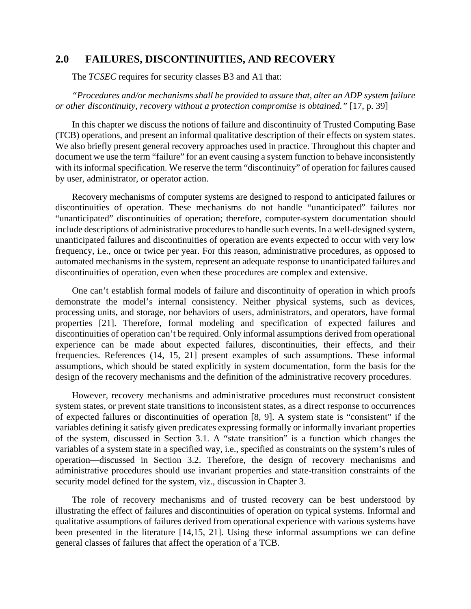## **2.0 FAILURES, DISCONTINUITIES, AND RECOVERY**

The *TCSEC* requires for security classes B3 and A1 that:

*"Procedures and/or mechanisms shall be provided to assure that, alter an ADP system failure or other discontinuity, recovery without a protection compromise is obtained."* [17, p. 39]

In this chapter we discuss the notions of failure and discontinuity of Trusted Computing Base (TCB) operations, and present an informal qualitative description of their effects on system states. We also briefly present general recovery approaches used in practice. Throughout this chapter and document we use the term "failure" for an event causing a system function to behave inconsistently with its informal specification. We reserve the term "discontinuity" of operation for failures caused by user, administrator, or operator action.

Recovery mechanisms of computer systems are designed to respond to anticipated failures or discontinuities of operation. These mechanisms do not handle "unanticipated" failures nor "unanticipated" discontinuities of operation; therefore, computer-system documentation should include descriptions of administrative procedures to handle such events. In a well-designed system, unanticipated failures and discontinuities of operation are events expected to occur with very low frequency, i.e., once or twice per year. For this reason, administrative procedures, as opposed to automated mechanisms in the system, represent an adequate response to unanticipated failures and discontinuities of operation, even when these procedures are complex and extensive.

One can't establish formal models of failure and discontinuity of operation in which proofs demonstrate the model's internal consistency. Neither physical systems, such as devices, processing units, and storage, nor behaviors of users, administrators, and operators, have formal properties [21]. Therefore, formal modeling and specification of expected failures and discontinuities of operation can't be required. Only informal assumptions derived from operational experience can be made about expected failures, discontinuities, their effects, and their frequencies. References (14, 15, 21] present examples of such assumptions. These informal assumptions, which should be stated explicitly in system documentation, form the basis for the design of the recovery mechanisms and the definition of the administrative recovery procedures.

However, recovery mechanisms and administrative procedures must reconstruct consistent system states, or prevent state transitions to inconsistent states, as a direct response to occurrences of expected failures or discontinuities of operation [8, 9]. A system state is "consistent" if the variables defining it satisfy given predicates expressing formally or informally invariant properties of the system, discussed in Section 3.1. A "state transition" is a function which changes the variables of a system state in a specified way, i.e., specified as constraints on the system's rules of operation—discussed in Section 3.2. Therefore, the design of recovery mechanisms and administrative procedures should use invariant properties and state-transition constraints of the security model defined for the system, viz., discussion in Chapter 3.

The role of recovery mechanisms and of trusted recovery can be best understood by illustrating the effect of failures and discontinuities of operation on typical systems. Informal and qualitative assumptions of failures derived from operational experience with various systems have been presented in the literature [14,15, 21]. Using these informal assumptions we can define general classes of failures that affect the operation of a TCB.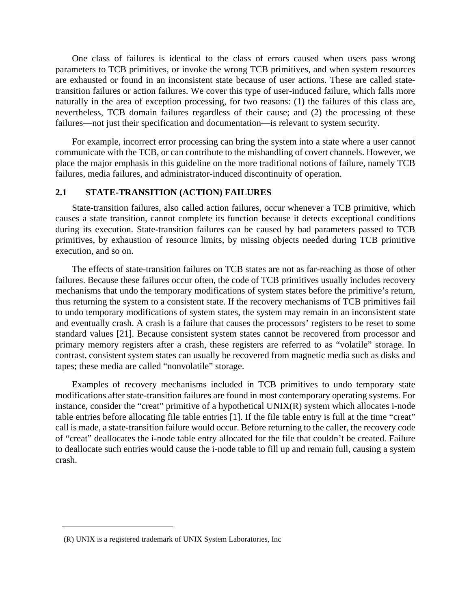One class of failures is identical to the class of errors caused when users pass wrong parameters to TCB primitives, or invoke the wrong TCB primitives, and when system resources are exhausted or found in an inconsistent state because of user actions. These are called statetransition failures or action failures. We cover this type of user-induced failure, which falls more naturally in the area of exception processing, for two reasons: (1) the failures of this class are, nevertheless, TCB domain failures regardless of their cause; and (2) the processing of these failures—not just their specification and documentation—is relevant to system security.

For example, incorrect error processing can bring the system into a state where a user cannot communicate with the TCB, or can contribute to the mishandling of covert channels. However, we place the major emphasis in this guideline on the more traditional notions of failure, namely TCB failures, media failures, and administrator-induced discontinuity of operation.

## **2.1 STATE-TRANSITION (ACTION) FAILURES**

State-transition failures, also called action failures, occur whenever a TCB primitive, which causes a state transition, cannot complete its function because it detects exceptional conditions during its execution. State-transition failures can be caused by bad parameters passed to TCB primitives, by exhaustion of resource limits, by missing objects needed during TCB primitive execution, and so on.

The effects of state-transition failures on TCB states are not as far-reaching as those of other failures. Because these failures occur often, the code of TCB primitives usually includes recovery mechanisms that undo the temporary modifications of system states before the primitive's return, thus returning the system to a consistent state. If the recovery mechanisms of TCB primitives fail to undo temporary modifications of system states, the system may remain in an inconsistent state and eventually crash. A crash is a failure that causes the processors' registers to be reset to some standard values [21]. Because consistent system states cannot be recovered from processor and primary memory registers after a crash, these registers are referred to as "volatile" storage. In contrast, consistent system states can usually be recovered from magnetic media such as disks and tapes; these media are called "nonvolatile" storage.

Examples of recovery mechanisms included in TCB primitives to undo temporary state modifications after state-transition failures are found in most contemporary operating systems. For instance, consider the "creat" primitive of a hypothetical UNIX(R) system which allocates i-node table entries before allocating file table entries [1]. If the file table entry is full at the time "creat" call is made, a state-transition failure would occur. Before returning to the caller, the recovery code of "creat" deallocates the i-node table entry allocated for the file that couldn't be created. Failure to deallocate such entries would cause the i-node table to fill up and remain full, causing a system crash.

<sup>(</sup>R) UNIX is a registered trademark of UNIX System Laboratories, Inc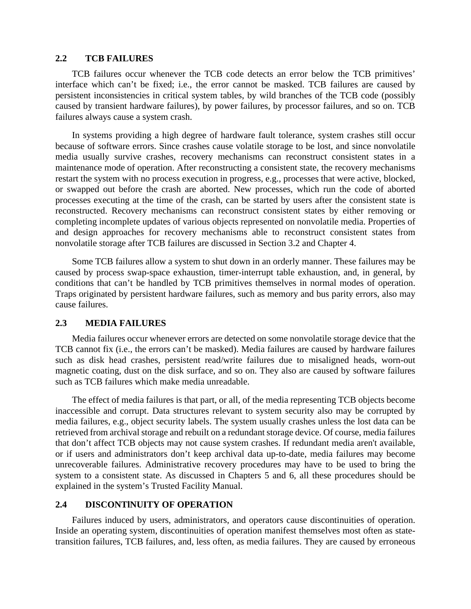### **2.2 TCB FAILURES**

TCB failures occur whenever the TCB code detects an error below the TCB primitives' interface which can't be fixed; i.e., the error cannot be masked. TCB failures are caused by persistent inconsistencies in critical system tables, by wild branches of the TCB code (possibly caused by transient hardware failures), by power failures, by processor failures, and so on. TCB failures always cause a system crash.

In systems providing a high degree of hardware fault tolerance, system crashes still occur because of software errors. Since crashes cause volatile storage to be lost, and since nonvolatile media usually survive crashes, recovery mechanisms can reconstruct consistent states in a maintenance mode of operation. After reconstructing a consistent state, the recovery mechanisms restart the system with no process execution in progress, e.g., processes that were active, blocked, or swapped out before the crash are aborted. New processes, which run the code of aborted processes executing at the time of the crash, can be started by users after the consistent state is reconstructed. Recovery mechanisms can reconstruct consistent states by either removing or completing incomplete updates of various objects represented on nonvolatile media. Properties of and design approaches for recovery mechanisms able to reconstruct consistent states from nonvolatile storage after TCB failures are discussed in Section 3.2 and Chapter 4.

Some TCB failures allow a system to shut down in an orderly manner. These failures may be caused by process swap-space exhaustion, timer-interrupt table exhaustion, and, in general, by conditions that can't be handled by TCB primitives themselves in normal modes of operation. Traps originated by persistent hardware failures, such as memory and bus parity errors, also may cause failures.

## **2.3 MEDIA FAILURES**

Media failures occur whenever errors are detected on some nonvolatile storage device that the TCB cannot fix (i.e., the errors can't be masked). Media failures are caused by hardware failures such as disk head crashes, persistent read/write failures due to misaligned heads, worn-out magnetic coating, dust on the disk surface, and so on. They also are caused by software failures such as TCB failures which make media unreadable.

The effect of media failures is that part, or all, of the media representing TCB objects become inaccessible and corrupt. Data structures relevant to system security also may be corrupted by media failures, e.g., object security labels. The system usually crashes unless the lost data can be retrieved from archival storage and rebuilt on a redundant storage device. Of course, media failures that don't affect TCB objects may not cause system crashes. If redundant media aren't available, or if users and administrators don't keep archival data up-to-date, media failures may become unrecoverable failures. Administrative recovery procedures may have to be used to bring the system to a consistent state. As discussed in Chapters 5 and 6, all these procedures should be explained in the system's Trusted Facility Manual.

### **2.4 DISCONTlNUITY OF OPERATION**

Failures induced by users, administrators, and operators cause discontinuities of operation. Inside an operating system, discontinuities of operation manifest themselves most often as statetransition failures, TCB failures, and, less often, as media failures. They are caused by erroneous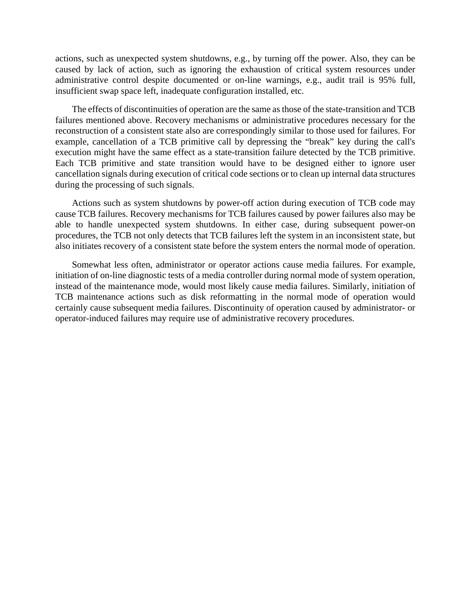actions, such as unexpected system shutdowns, e.g., by turning off the power. Also, they can be caused by lack of action, such as ignoring the exhaustion of critical system resources under administrative control despite documented or on-line warnings, e.g., audit trail is 95% full, insufficient swap space left, inadequate configuration installed, etc.

The effects of discontinuities of operation are the same as those of the state-transition and TCB failures mentioned above. Recovery mechanisms or administrative procedures necessary for the reconstruction of a consistent state also are correspondingly similar to those used for failures. For example, cancellation of a TCB primitive call by depressing the "break" key during the call's execution might have the same effect as a state-transition failure detected by the TCB primitive. Each TCB primitive and state transition would have to be designed either to ignore user cancellation signals during execution of critical code sections or to clean up internal data structures during the processing of such signals.

Actions such as system shutdowns by power-off action during execution of TCB code may cause TCB failures. Recovery mechanisms for TCB failures caused by power failures also may be able to handle unexpected system shutdowns. In either case, during subsequent power-on procedures, the TCB not only detects that TCB failures left the system in an inconsistent state, but also initiates recovery of a consistent state before the system enters the normal mode of operation.

Somewhat less often, administrator or operator actions cause media failures. For example, initiation of on-line diagnostic tests of a media controller during normal mode of system operation, instead of the maintenance mode, would most likely cause media failures. Similarly, initiation of TCB maintenance actions such as disk reformatting in the normal mode of operation would certainly cause subsequent media failures. Discontinuity of operation caused by administrator- or operator-induced failures may require use of administrative recovery procedures.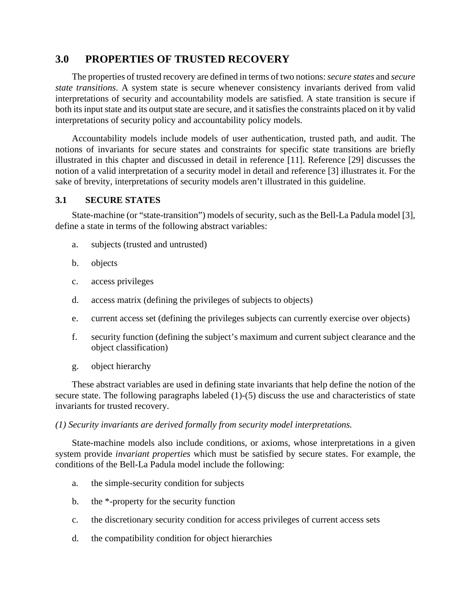# **3.0 PROPERTIES OF TRUSTED RECOVERY**

The properties of trusted recovery are defined in terms of two notions:*secure states* and *secure state transitions*. A system state is secure whenever consistency invariants derived from valid interpretations of security and accountability models are satisfied. A state transition is secure if both its input state and its output state are secure, and it satisfies the constraints placed on it by valid interpretations of security policy and accountability policy models.

Accountability models include models of user authentication, trusted path, and audit. The notions of invariants for secure states and constraints for specific state transitions are briefly illustrated in this chapter and discussed in detail in reference [11]. Reference [29] discusses the notion of a valid interpretation of a security model in detail and reference [3] illustrates it. For the sake of brevity, interpretations of security models aren't illustrated in this guideline.

## **3.1 SECURE STATES**

State-machine (or "state-transition") models of security, such as the Bell-La Padula model [3], define a state in terms of the following abstract variables:

- a. subjects (trusted and untrusted)
- b. objects
- c. access privileges
- d. access matrix (defining the privileges of subjects to objects)
- e. current access set (defining the privileges subjects can currently exercise over objects)
- f. security function (defining the subject's maximum and current subject clearance and the object classification)
- g. object hierarchy

These abstract variables are used in defining state invariants that help define the notion of the secure state. The following paragraphs labeled (1)-(5) discuss the use and characteristics of state invariants for trusted recovery.

### *(1) Security invariants are derived formally from security model interpretations.*

State-machine models also include conditions, or axioms, whose interpretations in a given system provide *invariant properties* which must be satisfied by secure states. For example, the conditions of the Bell-La Padula model include the following:

- a. the simple-security condition for subjects
- b. the \*-property for the security function
- c. the discretionary security condition for access privileges of current access sets
- d. the compatibility condition for object hierarchies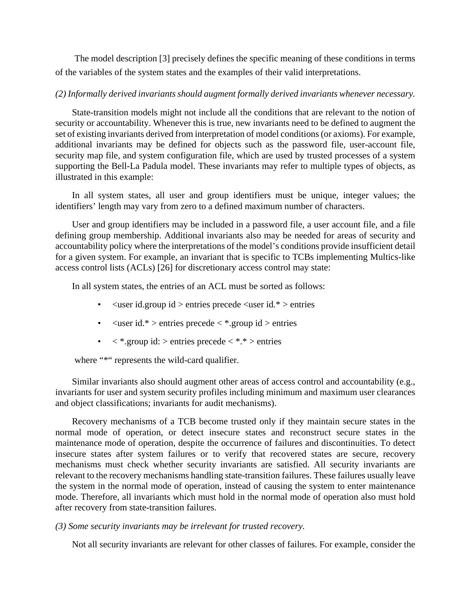The model description [3] precisely defines the specific meaning of these conditions in terms of the variables of the system states and the examples of their valid interpretations.

## *(2) Informally derived invariants should augment formally derived invariants whenever necessary.*

State-transition models might not include all the conditions that are relevant to the notion of security or accountability. Whenever this is true, new invariants need to be defined to augment the set of existing invariants derived from interpretation of model conditions (or axioms). For example, additional invariants may be defined for objects such as the password file, user-account file, security map file, and system configuration file, which are used by trusted processes of a system supporting the Bell-La Padula model. These invariants may refer to multiple types of objects, as illustrated in this example:

In all system states, all user and group identifiers must be unique, integer values; the identifiers' length may vary from zero to a defined maximum number of characters.

User and group identifiers may be included in a password file, a user account file, and a file defining group membership. Additional invariants also may be needed for areas of security and accountability policy where the interpretations of the model's conditions provide insufficient detail for a given system. For example, an invariant that is specific to TCBs implementing Multics-like access control lists (ACLs) [26] for discretionary access control may state:

In all system states, the entries of an ACL must be sorted as follows:

- $\langle$ user id.group id  $>$  entries precede  $\langle$ user id.\*  $>$  entries
- $\langle$ user id.\* > entries precede  $\langle$  \*.group id > entries
- $\langle$  \*.group id: > entries precede  $\langle$  \*.\* > entries

where "\*" represents the wild-card qualifier.

Similar invariants also should augment other areas of access control and accountability (e.g., invariants for user and system security profiles including minimum and maximum user clearances and object classifications; invariants for audit mechanisms).

Recovery mechanisms of a TCB become trusted only if they maintain secure states in the normal mode of operation, or detect insecure states and reconstruct secure states in the maintenance mode of operation, despite the occurrence of failures and discontinuities. To detect insecure states after system failures or to verify that recovered states are secure, recovery mechanisms must check whether security invariants are satisfied. All security invariants are relevant to the recovery mechanisms handling state-transition failures. These failures usually leave the system in the normal mode of operation, instead of causing the system to enter maintenance mode. Therefore, all invariants which must hold in the normal mode of operation also must hold after recovery from state-transition failures.

## *(3) Some security invariants may be irrelevant for trusted recovery.*

Not all security invariants are relevant for other classes of failures. For example, consider the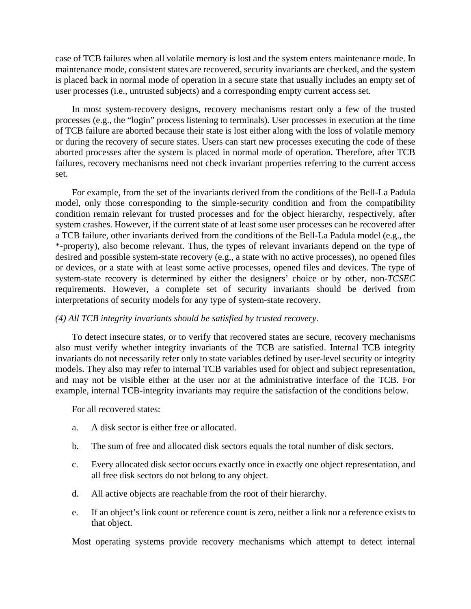case of TCB failures when all volatile memory is lost and the system enters maintenance mode. In maintenance mode, consistent states are recovered, security invariants are checked, and the system is placed back in normal mode of operation in a secure state that usually includes an empty set of user processes (i.e., untrusted subjects) and a corresponding empty current access set.

In most system-recovery designs, recovery mechanisms restart only a few of the trusted processes (e.g., the "login" process listening to terminals). User processes in execution at the time of TCB failure are aborted because their state is lost either along with the loss of volatile memory or during the recovery of secure states. Users can start new processes executing the code of these aborted processes after the system is placed in normal mode of operation. Therefore, after TCB failures, recovery mechanisms need not check invariant properties referring to the current access set.

For example, from the set of the invariants derived from the conditions of the Bell-La Padula model, only those corresponding to the simple-security condition and from the compatibility condition remain relevant for trusted processes and for the object hierarchy, respectively, after system crashes. However, if the current state of at least some user processes can be recovered after a TCB failure, other invariants derived from the conditions of the Bell-La Padula model (e.g., the \*-property), also become relevant. Thus, the types of relevant invariants depend on the type of desired and possible system-state recovery (e.g., a state with no active processes), no opened files or devices, or a state with at least some active processes, opened files and devices. The type of system-state recovery is determined by either the designers' choice or by other, non-*TCSEC* requirements. However, a complete set of security invariants should be derived from interpretations of security models for any type of system-state recovery.

### *(4) All TCB integrity invariants should be satisfied by trusted recovery.*

To detect insecure states, or to verify that recovered states are secure, recovery mechanisms also must verify whether integrity invariants of the TCB are satisfied. Internal TCB integrity invariants do not necessarily refer only to state variables defined by user-level security or integrity models. They also may refer to internal TCB variables used for object and subject representation, and may not be visible either at the user nor at the administrative interface of the TCB. For example, internal TCB-integrity invariants may require the satisfaction of the conditions below.

For all recovered states:

- a. A disk sector is either free or allocated.
- b. The sum of free and allocated disk sectors equals the total number of disk sectors.
- c. Every allocated disk sector occurs exactly once in exactly one object representation, and all free disk sectors do not belong to any object.
- d. All active objects are reachable from the root of their hierarchy.
- e. If an object's link count or reference count is zero, neither a link nor a reference exists to that object.

Most operating systems provide recovery mechanisms which attempt to detect internal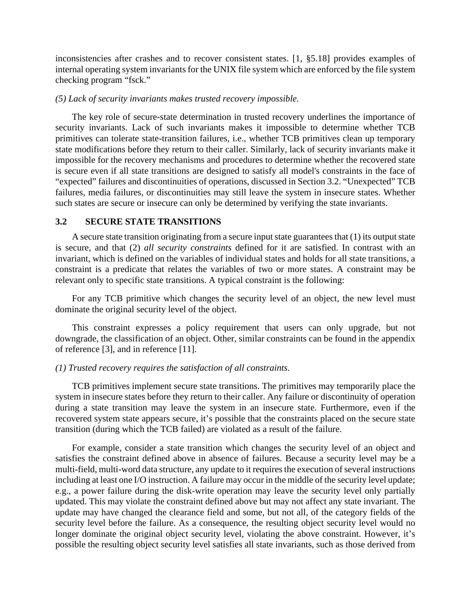inconsistencies after crashes and to recover consistent states. [1, §5.18] provides examples of internal operating system invariants for the UNIX file system which are enforced by the file system checking program "fsck."

#### *(5) Lack of security invariants makes trusted recovery impossible.*

The key role of secure-state determination in trusted recovery underlines the importance of security invariants. Lack of such invariants makes it impossible to determine whether TCB primitives can tolerate state-transition failures, i.e., whether TCB primitives clean up temporary state modifications before they return to their caller. Similarly, lack of security invariants make it impossible for the recovery mechanisms and procedures to determine whether the recovered state is secure even if all state transitions are designed to satisfy all model's constraints in the face of "expected" failures and discontinuities of operations, discussed in Section 3.2. "Unexpected" TCB failures, media failures, or discontinuities may still leave the system in insecure states. Whether such states are secure or insecure can only be determined by verifying the state invariants.

## **3.2 SECURE STATE TRANSITIONS**

A secure state transition originating from a secure input state guarantees that (1) its output state is secure, and that (2) *all security constraints* defined for it are satisfied. In contrast with an invariant, which is defined on the variables of individual states and holds for all state transitions, a constraint is a predicate that relates the variables of two or more states. A constraint may be relevant only to specific state transitions. A typical constraint is the following:

For any TCB primitive which changes the security level of an object, the new level must dominate the original security level of the object.

This constraint expresses a policy requirement that users can only upgrade, but not downgrade, the classification of an object. Other, similar constraints can be found in the appendix of reference [3], and in reference [11].

### *(1) Trusted recovery requires the satisfaction of all constraints.*

TCB primitives implement secure state transitions. The primitives may temporarily place the system in insecure states before they return to their caller. Any failure or discontinuity of operation during a state transition may leave the system in an insecure state. Furthermore, even if the recovered system state appears secure, it's possible that the constraints placed on the secure state transition (during which the TCB failed) are violated as a result of the failure.

For example, consider a state transition which changes the security level of an object and satisfies the constraint defined above in absence of failures. Because a security level may be a multi-field, multi-word data structure, any update to it requires the execution of several instructions including at least one I/O instruction. A failure may occur in the middle of the security level update; e.g., a power failure during the disk-write operation may leave the security level only partially updated. This may violate the constraint defined above but may not affect any state invariant. The update may have changed the clearance field and some, but not all, of the category fields of the security level before the failure. As a consequence, the resulting object security level would no longer dominate the original object security level, violating the above constraint. However, it's possible the resulting object security level satisfies all state invariants, such as those derived from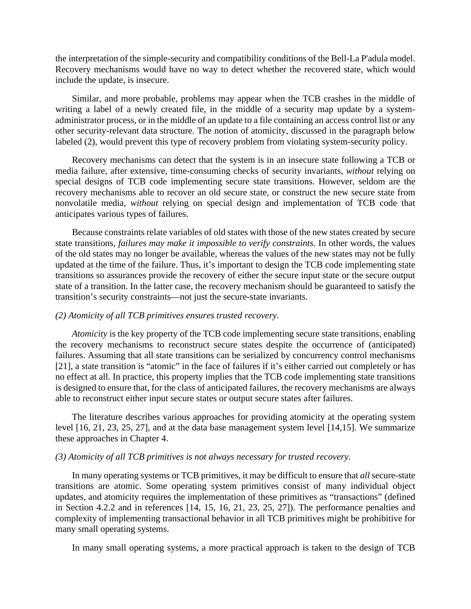the interpretation of the simple-security and compatibility conditions of the Bell-La P'adula model. Recovery mechanisms would have no way to detect whether the recovered state, which would include the update, is insecure.

Similar, and more probable, problems may appear when the TCB crashes in the middle of writing a label of a newly created file, in the middle of a security map update by a systemadministrator process, or in the middle of an update to a file containing an access control list or any other security-relevant data structure. The notion of atomicity, discussed in the paragraph below labeled (2), would prevent this type of recovery problem from violating system-security policy.

Recovery mechanisms can detect that the system is in an insecure state following a TCB or media failure, after extensive, time-consuming checks of security invariants, *without* relying on special designs of TCB code implementing secure state transitions. However, seldom are the recovery mechanisms able to recover an old secure state, or construct the new secure state from nonvolatile media, *without* relying on special design and implementation of TCB code that anticipates various types of failures.

Because constraints relate variables of old states with those of the new states created by secure state transitions, *failures may make it impossible to verify constraints.* In other words, the values of the old states may no longer be available, whereas the values of the new states may not be fully updated at the time of the failure. Thus, it's important to design the TCB code implementing state transitions so assurances provide the recovery of either the secure input state or the secure output state of a transition. In the latter case, the recovery mechanism should be guaranteed to satisfy the transition's security constraints—not just the secure-state invariants.

### *(2) Atomicity of all TCB primitives ensures trusted recovery.*

*Atomicity* is the key property of the TCB code implementing secure state transitions, enabling the recovery mechanisms to reconstruct secure states despite the occurrence of (anticipated) failures. Assuming that all state transitions can be serialized by concurrency control mechanisms [21], a state transition is "atomic" in the face of failures if it's either carried out completely or has no effect at all. In practice, this property implies that the TCB code implementing state transitions is designed to ensure that, for the class of anticipated failures, the recovery mechanisms are always able to reconstruct either input secure states or output secure states after failures.

The literature describes various approaches for providing atomicity at the operating system level [16, 21, 23, 25, 27], and at the data base management system level [14,15]. We summarize these approaches in Chapter 4.

### *(3) Atomicity of all TCB primitives is not always necessary for trusted recovery.*

In many operating systems or TCB primitives, it may be difficult to ensure that *all* secure-state transitions are atomic. Some operating system primitives consist of many individual object updates, and atomicity requires the implementation of these primitives as "transactions" (defined in Section 4.2.2 and in references  $[14, 15, 16, 21, 23, 25, 27]$ . The performance penalties and complexity of implementing transactional behavior in all TCB primitives might be prohibitive for many small operating systems.

In many small operating systems, a more practical approach is taken to the design of TCB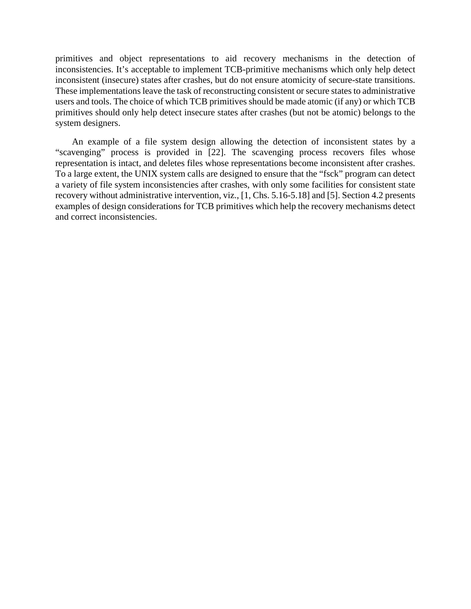primitives and object representations to aid recovery mechanisms in the detection of inconsistencies. It's acceptable to implement TCB-primitive mechanisms which only help detect inconsistent (insecure) states after crashes, but do not ensure atomicity of secure-state transitions. These implementations leave the task of reconstructing consistent or secure states to administrative users and tools. The choice of which TCB primitives should be made atomic (if any) or which TCB primitives should only help detect insecure states after crashes (but not be atomic) belongs to the system designers.

An example of a file system design allowing the detection of inconsistent states by a "scavenging" process is provided in [22]. The scavenging process recovers files whose representation is intact, and deletes files whose representations become inconsistent after crashes. To a large extent, the UNIX system calls are designed to ensure that the "fsck" program can detect a variety of file system inconsistencies after crashes, with only some facilities for consistent state recovery without administrative intervention, viz., [1, Chs. 5.16-5.18] and [5]. Section 4.2 presents examples of design considerations for TCB primitives which help the recovery mechanisms detect and correct inconsistencies.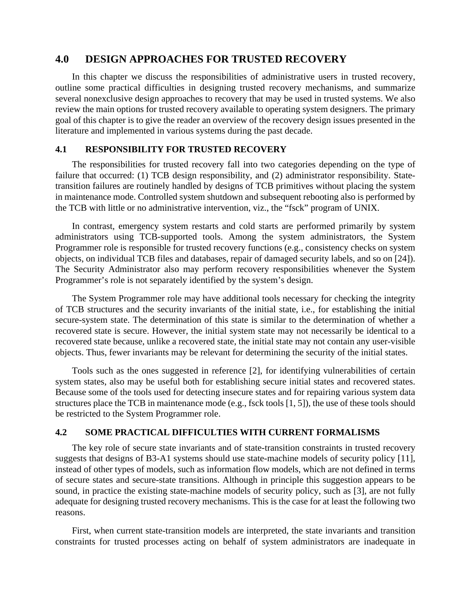# **4.0 DESIGN APPROACHES FOR TRUSTED RECOVERY**

In this chapter we discuss the responsibilities of administrative users in trusted recovery, outline some practical difficulties in designing trusted recovery mechanisms, and summarize several nonexclusive design approaches to recovery that may be used in trusted systems. We also review the main options for trusted recovery available to operating system designers. The primary goal of this chapter is to give the reader an overview of the recovery design issues presented in the literature and implemented in various systems during the past decade.

## **4.1 RESPONSIBILITY FOR TRUSTED RECOVERY**

The responsibilities for trusted recovery fall into two categories depending on the type of failure that occurred: (1) TCB design responsibility, and (2) administrator responsibility. Statetransition failures are routinely handled by designs of TCB primitives without placing the system in maintenance mode. Controlled system shutdown and subsequent rebooting also is performed by the TCB with little or no administrative intervention, viz., the "fsck" program of UNIX.

In contrast, emergency system restarts and cold starts are performed primarily by system administrators using TCB-supported tools. Among the system administrators, the System Programmer role is responsible for trusted recovery functions (e.g., consistency checks on system objects, on individual TCB files and databases, repair of damaged security labels, and so on [24]). The Security Administrator also may perform recovery responsibilities whenever the System Programmer's role is not separately identified by the system's design.

The System Programmer role may have additional tools necessary for checking the integrity of TCB structures and the security invariants of the initial state, i.e., for establishing the initial secure-system state. The determination of this state is similar to the determination of whether a recovered state is secure. However, the initial system state may not necessarily be identical to a recovered state because, unlike a recovered state, the initial state may not contain any user-visible objects. Thus, fewer invariants may be relevant for determining the security of the initial states.

Tools such as the ones suggested in reference [2], for identifying vulnerabilities of certain system states, also may be useful both for establishing secure initial states and recovered states. Because some of the tools used for detecting insecure states and for repairing various system data structures place the TCB in maintenance mode (e.g., fsck tools [1, 5]), the use of these tools should be restricted to the System Programmer role.

## **4.2 SOME PRACTICAL DIFFICULTIES WITH CURRENT FORMALISMS**

The key role of secure state invariants and of state-transition constraints in trusted recovery suggests that designs of B3-A1 systems should use state-machine models of security policy [11], instead of other types of models, such as information flow models, which are not defined in terms of secure states and secure-state transitions. Although in principle this suggestion appears to be sound, in practice the existing state-machine models of security policy, such as [3], are not fully adequate for designing trusted recovery mechanisms. This is the case for at least the following two reasons.

First, when current state-transition models are interpreted, the state invariants and transition constraints for trusted processes acting on behalf of system administrators are inadequate in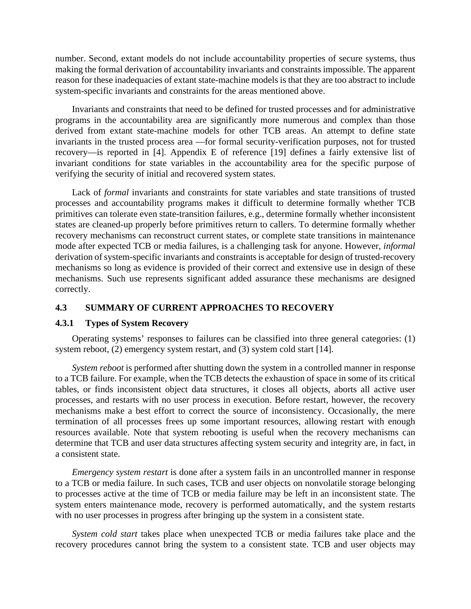number. Second, extant models do not include accountability properties of secure systems, thus making the formal derivation of accountability invariants and constraints impossible. The apparent reason for these inadequacies of extant state-machine models is that they are too abstract to include system-specific invariants and constraints for the areas mentioned above.

Invariants and constraints that need to be defined for trusted processes and for administrative programs in the accountability area are significantly more numerous and complex than those derived from extant state-machine models for other TCB areas. An attempt to define state invariants in the trusted process area —for formal security-verification purposes, not for trusted recovery—is reported in [4]. Appendix E of reference [19] defines a fairly extensive list of invariant conditions for state variables in the accountability area for the specific purpose of verifying the security of initial and recovered system states.

Lack of *formal* invariants and constraints for state variables and state transitions of trusted processes and accountability programs makes it difficult to determine formally whether TCB primitives can tolerate even state-transition failures, e.g., determine formally whether inconsistent states are cleaned-up properly before primitives return to callers. To determine formally whether recovery mechanisms can reconstruct current states, or complete state transitions in maintenance mode after expected TCB or media failures, is a challenging task for anyone. However, *informal* derivation of system-specific invariants and constraints is acceptable for design of trusted-recovery mechanisms so long as evidence is provided of their correct and extensive use in design of these mechanisms. Such use represents significant added assurance these mechanisms are designed correctly.

## **4.3 SUMMARY OF CURRENT APPROACHES TO RECOVERY**

## **4.3.1 Types of System Recovery**

Operating systems' responses to failures can be classified into three general categories: (1) system reboot, (2) emergency system restart, and (3) system cold start [14].

*System reboot* is performed after shutting down the system in a controlled manner in response to a TCB failure. For example, when the TCB detects the exhaustion of space in some of its critical tables, or finds inconsistent object data structures, it closes all objects, aborts all active user processes, and restarts with no user process in execution. Before restart, however, the recovery mechanisms make a best effort to correct the source of inconsistency. Occasionally, the mere termination of all processes frees up some important resources, allowing restart with enough resources available. Note that system rebooting is useful when the recovery mechanisms can determine that TCB and user data structures affecting system security and integrity are, in fact, in a consistent state.

*Emergency system restart* is done after a system fails in an uncontrolled manner in response to a TCB or media failure. In such cases, TCB and user objects on nonvolatile storage belonging to processes active at the time of TCB or media failure may be left in an inconsistent state. The system enters maintenance mode, recovery is performed automatically, and the system restarts with no user processes in progress after bringing up the system in a consistent state.

*System cold start* takes place when unexpected TCB or media failures take place and the recovery procedures cannot bring the system to a consistent state. TCB and user objects may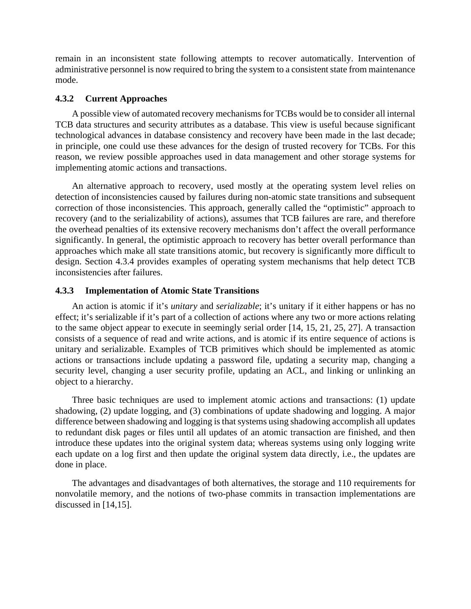remain in an inconsistent state following attempts to recover automatically. Intervention of administrative personnel is now required to bring the system to a consistent state from maintenance mode.

## **4.3.2 Current Approaches**

A possible view of automated recovery mechanisms for TCBs would be to consider all internal TCB data structures and security attributes as a database. This view is useful because significant technological advances in database consistency and recovery have been made in the last decade; in principle, one could use these advances for the design of trusted recovery for TCBs. For this reason, we review possible approaches used in data management and other storage systems for implementing atomic actions and transactions.

An alternative approach to recovery, used mostly at the operating system level relies on detection of inconsistencies caused by failures during non-atomic state transitions and subsequent correction of those inconsistencies. This approach, generally called the "optimistic" approach to recovery (and to the serializability of actions), assumes that TCB failures are rare, and therefore the overhead penalties of its extensive recovery mechanisms don't affect the overall performance significantly. In general, the optimistic approach to recovery has better overall performance than approaches which make all state transitions atomic, but recovery is significantly more difficult to design. Section 4.3.4 provides examples of operating system mechanisms that help detect TCB inconsistencies after failures.

## **4.3.3 Implementation of Atomic State Transitions**

An action is atomic if it's *unitary* and *serializable*; it's unitary if it either happens or has no effect; it's serializable if it's part of a collection of actions where any two or more actions relating to the same object appear to execute in seemingly serial order [14, 15, 21, 25, 27]. A transaction consists of a sequence of read and write actions, and is atomic if its entire sequence of actions is unitary and serializable. Examples of TCB primitives which should be implemented as atomic actions or transactions include updating a password file, updating a security map, changing a security level, changing a user security profile, updating an ACL, and linking or unlinking an object to a hierarchy.

Three basic techniques are used to implement atomic actions and transactions: (1) update shadowing, (2) update logging, and (3) combinations of update shadowing and logging. A major difference between shadowing and logging is that systems using shadowing accomplish all updates to redundant disk pages or files until all updates of an atomic transaction are finished, and then introduce these updates into the original system data; whereas systems using only logging write each update on a log first and then update the original system data directly, i.e., the updates are done in place.

The advantages and disadvantages of both alternatives, the storage and 110 requirements for nonvolatile memory, and the notions of two-phase commits in transaction implementations are discussed in [14,15].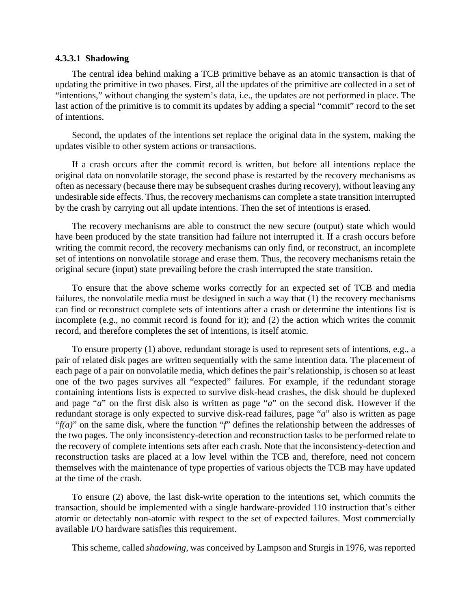### **4.3.3.1 Shadowing**

The central idea behind making a TCB primitive behave as an atomic transaction is that of updating the primitive in two phases. First, all the updates of the primitive are collected in a set of "intentions," without changing the system's data, i.e., the updates are not performed in place. The last action of the primitive is to commit its updates by adding a special "commit" record to the set of intentions.

Second, the updates of the intentions set replace the original data in the system, making the updates visible to other system actions or transactions.

If a crash occurs after the commit record is written, but before all intentions replace the original data on nonvolatile storage, the second phase is restarted by the recovery mechanisms as often as necessary (because there may be subsequent crashes during recovery), without leaving any undesirable side effects. Thus, the recovery mechanisms can complete a state transition interrupted by the crash by carrying out all update intentions. Then the set of intentions is erased.

The recovery mechanisms are able to construct the new secure (output) state which would have been produced by the state transition had failure not interrupted it. If a crash occurs before writing the commit record, the recovery mechanisms can only find, or reconstruct, an incomplete set of intentions on nonvolatile storage and erase them. Thus, the recovery mechanisms retain the original secure (input) state prevailing before the crash interrupted the state transition.

To ensure that the above scheme works correctly for an expected set of TCB and media failures, the nonvolatile media must be designed in such a way that (1) the recovery mechanisms can find or reconstruct complete sets of intentions after a crash or determine the intentions list is incomplete (e.g., no commit record is found for it); and (2) the action which writes the commit record, and therefore completes the set of intentions, is itself atomic.

To ensure property (1) above, redundant storage is used to represent sets of intentions, e.g., a pair of related disk pages are written sequentially with the same intention data. The placement of each page of a pair on nonvolatile media, which defines the pair's relationship, is chosen so at least one of the two pages survives all "expected" failures. For example, if the redundant storage containing intentions lists is expected to survive disk-head crashes, the disk should be duplexed and page "*a*" on the first disk also is written as page "*a*" on the second disk. However if the redundant storage is only expected to survive disk-read failures, page "*a*" also is written as page "*f(a)*" on the same disk, where the function "*f*" defines the relationship between the addresses of the two pages. The only inconsistency-detection and reconstruction tasks to be performed relate to the recovery of complete intentions sets after each crash. Note that the inconsistency-detection and reconstruction tasks are placed at a low level within the TCB and, therefore, need not concern themselves with the maintenance of type properties of various objects the TCB may have updated at the time of the crash.

To ensure (2) above, the last disk-write operation to the intentions set, which commits the transaction, should be implemented with a single hardware-provided 110 instruction that's either atomic or detectably non-atomic with respect to the set of expected failures. Most commercially available I/O hardware satisfies this requirement.

This scheme, called *shadowing*, was conceived by Lampson and Sturgis in 1976, was reported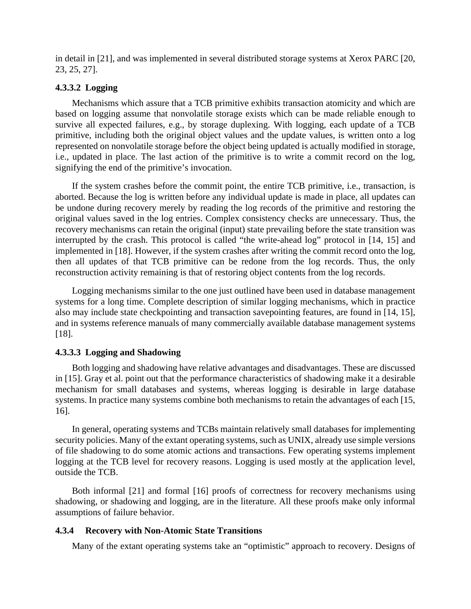in detail in [21], and was implemented in several distributed storage systems at Xerox PARC [20, 23, 25, 27].

## **4.3.3.2 Logging**

Mechanisms which assure that a TCB primitive exhibits transaction atomicity and which are based on logging assume that nonvolatile storage exists which can be made reliable enough to survive all expected failures, e.g., by storage duplexing. With logging, each update of a TCB primitive, including both the original object values and the update values, is written onto a log represented on nonvolatile storage before the object being updated is actually modified in storage, i.e., updated in place. The last action of the primitive is to write a commit record on the log, signifying the end of the primitive's invocation.

If the system crashes before the commit point, the entire TCB primitive, i.e., transaction, is aborted. Because the log is written before any individual update is made in place, all updates can be undone during recovery merely by reading the log records of the primitive and restoring the original values saved in the log entries. Complex consistency checks are unnecessary. Thus, the recovery mechanisms can retain the original (input) state prevailing before the state transition was interrupted by the crash. This protocol is called "the write-ahead log" protocol in [14, 15] and implemented in [18]. However, if the system crashes after writing the commit record onto the log, then all updates of that TCB primitive can be redone from the log records. Thus, the only reconstruction activity remaining is that of restoring object contents from the log records.

Logging mechanisms similar to the one just outlined have been used in database management systems for a long time. Complete description of similar logging mechanisms, which in practice also may include state checkpointing and transaction savepointing features, are found in [14, 15], and in systems reference manuals of many commercially available database management systems [18].

### **4.3.3.3 Logging and Shadowing**

Both logging and shadowing have relative advantages and disadvantages. These are discussed in [15]. Gray et al. point out that the performance characteristics of shadowing make it a desirable mechanism for small databases and systems, whereas logging is desirable in large database systems. In practice many systems combine both mechanisms to retain the advantages of each [15, 16].

In general, operating systems and TCBs maintain relatively small databases for implementing security policies. Many of the extant operating systems, such as UNIX, already use simple versions of file shadowing to do some atomic actions and transactions. Few operating systems implement logging at the TCB level for recovery reasons. Logging is used mostly at the application level, outside the TCB.

Both informal [21] and formal [16] proofs of correctness for recovery mechanisms using shadowing, or shadowing and logging, are in the literature. All these proofs make only informal assumptions of failure behavior.

### **4.3.4 Recovery with Non-Atomic State Transitions**

Many of the extant operating systems take an "optimistic" approach to recovery. Designs of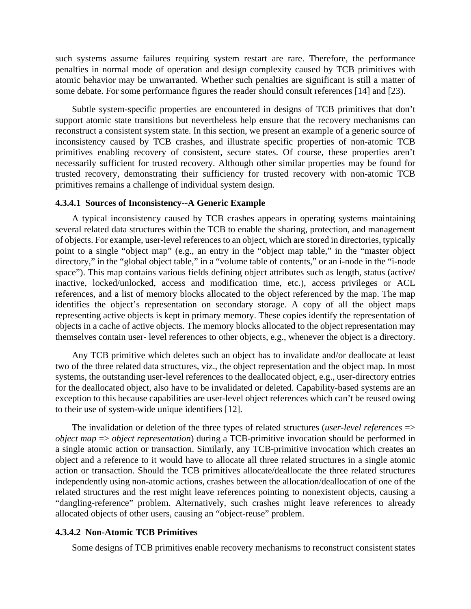such systems assume failures requiring system restart are rare. Therefore, the performance penalties in normal mode of operation and design complexity caused by TCB primitives with atomic behavior may be unwarranted. Whether such penalties are significant is still a matter of some debate. For some performance figures the reader should consult references [14] and [23).

Subtle system-specific properties are encountered in designs of TCB primitives that don't support atomic state transitions but nevertheless help ensure that the recovery mechanisms can reconstruct a consistent system state. In this section, we present an example of a generic source of inconsistency caused by TCB crashes, and illustrate specific properties of non-atomic TCB primitives enabling recovery of consistent, secure states. Of course, these properties aren't necessarily sufficient for trusted recovery. Although other similar properties may be found for trusted recovery, demonstrating their sufficiency for trusted recovery with non-atomic TCB primitives remains a challenge of individual system design.

### **4.3.4.1 Sources of Inconsistency--A Generic Example**

A typical inconsistency caused by TCB crashes appears in operating systems maintaining several related data structures within the TCB to enable the sharing, protection, and management of objects. For example, user-level references to an object, which are stored in directories, typically point to a single "object map" (e.g., an entry in the "object map table," in the "master object directory," in the "global object table," in a "volume table of contents," or an i-node in the "i-node space"). This map contains various fields defining object attributes such as length, status (active/ inactive, locked/unlocked, access and modification time, etc.), access privileges or ACL references, and a list of memory blocks allocated to the object referenced by the map. The map identifies the object's representation on secondary storage. A copy of all the object maps representing active objects is kept in primary memory. These copies identify the representation of objects in a cache of active objects. The memory blocks allocated to the object representation may themselves contain user- level references to other objects, e.g., whenever the object is a directory.

Any TCB primitive which deletes such an object has to invalidate and/or deallocate at least two of the three related data structures, viz., the object representation and the object map. In most systems, the outstanding user-level references to the deallocated object, e.g., user-directory entries for the deallocated object, also have to be invalidated or deleted. Capability-based systems are an exception to this because capabilities are user-level object references which can't be reused owing to their use of system-wide unique identifiers [12].

The invalidation or deletion of the three types of related structures (*user-level references* => *object map* => *object representation*) during a TCB-primitive invocation should be performed in a single atomic action or transaction. Similarly, any TCB-primitive invocation which creates an object and a reference to it would have to allocate all three related structures in a single atomic action or transaction. Should the TCB primitives allocate/deallocate the three related structures independently using non-atomic actions, crashes between the allocation/deallocation of one of the related structures and the rest might leave references pointing to nonexistent objects, causing a "dangling-reference" problem. Alternatively, such crashes might leave references to already allocated objects of other users, causing an "object-reuse" problem.

### **4.3.4.2 Non-Atomic TCB Primitives**

Some designs of TCB primitives enable recovery mechanisms to reconstruct consistent states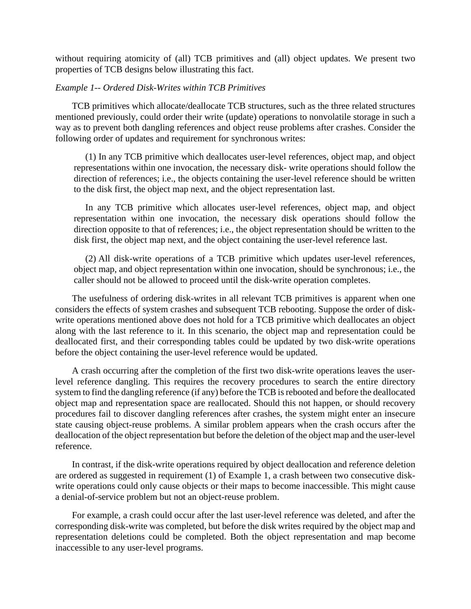without requiring atomicity of (all) TCB primitives and (all) object updates. We present two properties of TCB designs below illustrating this fact.

## *Example 1-- Ordered Disk-Writes within TCB Primitives*

TCB primitives which allocate/deallocate TCB structures, such as the three related structures mentioned previously, could order their write (update) operations to nonvolatile storage in such a way as to prevent both dangling references and object reuse problems after crashes. Consider the following order of updates and requirement for synchronous writes:

(1) In any TCB primitive which deallocates user-level references, object map, and object representations within one invocation, the necessary disk- write operations should follow the direction of references; i.e., the objects containing the user-level reference should be written to the disk first, the object map next, and the object representation last.

In any TCB primitive which allocates user-level references, object map, and object representation within one invocation, the necessary disk operations should follow the direction opposite to that of references; i.e., the object representation should be written to the disk first, the object map next, and the object containing the user-level reference last.

(2) All disk-write operations of a TCB primitive which updates user-level references, object map, and object representation within one invocation, should be synchronous; i.e., the caller should not be allowed to proceed until the disk-write operation completes.

The usefulness of ordering disk-writes in all relevant TCB primitives is apparent when one considers the effects of system crashes and subsequent TCB rebooting. Suppose the order of diskwrite operations mentioned above does not hold for a TCB primitive which deallocates an object along with the last reference to it. In this scenario, the object map and representation could be deallocated first, and their corresponding tables could be updated by two disk-write operations before the object containing the user-level reference would be updated.

A crash occurring after the completion of the first two disk-write operations leaves the userlevel reference dangling. This requires the recovery procedures to search the entire directory system to find the dangling reference (if any) before the TCB is rebooted and before the deallocated object map and representation space are reallocated. Should this not happen, or should recovery procedures fail to discover dangling references after crashes, the system might enter an insecure state causing object-reuse problems. A similar problem appears when the crash occurs after the deallocation of the object representation but before the deletion of the object map and the user-level reference.

In contrast, if the disk-write operations required by object deallocation and reference deletion are ordered as suggested in requirement (1) of Example 1, a crash between two consecutive diskwrite operations could only cause objects or their maps to become inaccessible. This might cause a denial-of-service problem but not an object-reuse problem.

For example, a crash could occur after the last user-level reference was deleted, and after the corresponding disk-write was completed, but before the disk writes required by the object map and representation deletions could be completed. Both the object representation and map become inaccessible to any user-level programs.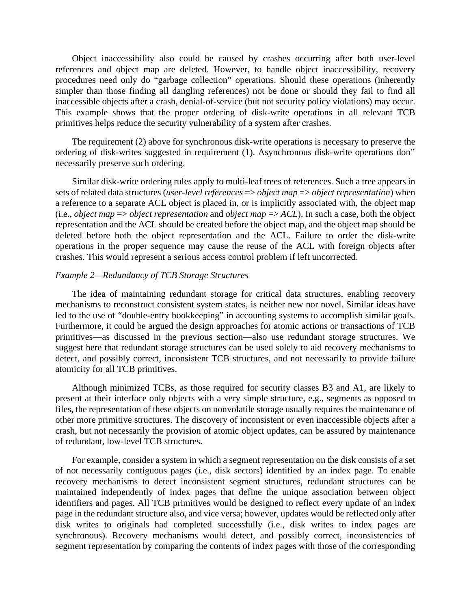Object inaccessibility also could be caused by crashes occurring after both user-level references and object map are deleted. However, to handle object inaccessibility, recovery procedures need only do "garbage collection" operations. Should these operations (inherently simpler than those finding all dangling references) not be done or should they fail to find all inaccessible objects after a crash, denial-of-service (but not security policy violations) may occur. This example shows that the proper ordering of disk-write operations in all relevant TCB primitives helps reduce the security vulnerability of a system after crashes.

The requirement (2) above for synchronous disk-write operations is necessary to preserve the ordering of disk-writes suggested in requirement (1). Asynchronous disk-write operations don'' necessarily preserve such ordering.

Similar disk-write ordering rules apply to multi-leaf trees of references. Such a tree appears in sets of related data structures (*user-level references* => *object map* => *object representation*) when a reference to a separate ACL object is placed in, or is implicitly associated with, the object map (i.e., *object map* => *object representation* and *object map* => *ACL*). In such a case, both the object representation and the ACL should be created before the object map, and the object map should be deleted before both the object representation and the ACL. Failure to order the disk-write operations in the proper sequence may cause the reuse of the ACL with foreign objects after crashes. This would represent a serious access control problem if left uncorrected.

### *Example 2—Redundancy of TCB Storage Structures*

The idea of maintaining redundant storage for critical data structures, enabling recovery mechanisms to reconstruct consistent system states, is neither new nor novel. Similar ideas have led to the use of "double-entry bookkeeping" in accounting systems to accomplish similar goals. Furthermore, it could be argued the design approaches for atomic actions or transactions of TCB primitives—as discussed in the previous section—also use redundant storage structures. We suggest here that redundant storage structures can be used solely to aid recovery mechanisms to detect, and possibly correct, inconsistent TCB structures, and not necessarily to provide failure atomicity for all TCB primitives.

Although minimized TCBs, as those required for security classes B3 and A1, are likely to present at their interface only objects with a very simple structure, e.g., segments as opposed to files, the representation of these objects on nonvolatile storage usually requires the maintenance of other more primitive structures. The discovery of inconsistent or even inaccessible objects after a crash, but not necessarily the provision of atomic object updates, can be assured by maintenance of redundant, low-level TCB structures.

For example, consider a system in which a segment representation on the disk consists of a set of not necessarily contiguous pages (i.e., disk sectors) identified by an index page. To enable recovery mechanisms to detect inconsistent segment structures, redundant structures can be maintained independently of index pages that define the unique association between object identifiers and pages. All TCB primitives would be designed to reflect every update of an index page in the redundant structure also, and vice versa; however, updates would be reflected only after disk writes to originals had completed successfully (i.e., disk writes to index pages are synchronous). Recovery mechanisms would detect, and possibly correct, inconsistencies of segment representation by comparing the contents of index pages with those of the corresponding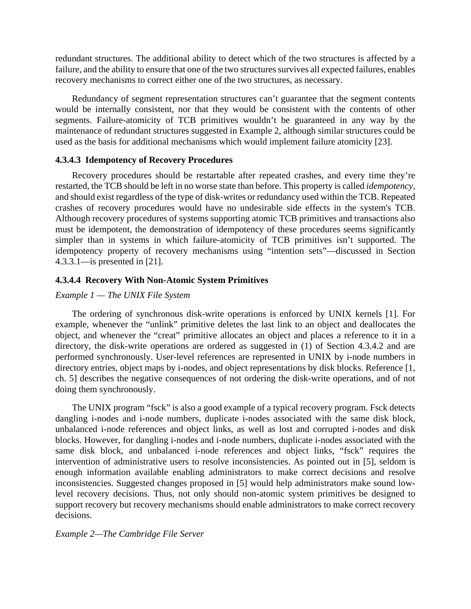redundant structures. The additional ability to detect which of the two structures is affected by a failure, and the ability to ensure that one of the two structures survives all expected failures, enables recovery mechanisms to correct either one of the two structures, as necessary.

Redundancy of segment representation structures can't guarantee that the segment contents would be internally consistent, nor that they would be consistent with the contents of other segments. Failure-atomicity of TCB primitives wouldn't be guaranteed in any way by the maintenance of redundant structures suggested in Example 2, although similar structures could be used as the basis for additional mechanisms which would implement failure atomicity [23].

## **4.3.4.3 Idempotency of Recovery Procedures**

Recovery procedures should be restartable after repeated crashes, and every time they're restarted, the TCB should be left in no worse state than before. This property is called *idempotency*, and should exist regardless of the type of disk-writes or redundancy used within the TCB. Repeated crashes of recovery procedures would have no undesirable side effects in the system's TCB. Although recovery procedures of systems supporting atomic TCB primitives and transactions also must be idempotent, the demonstration of idempotency of these procedures seems significantly simpler than in systems in which failure-atomicity of TCB primitives isn't supported. The idempotency property of recovery mechanisms using "intention sets"—discussed in Section 4.3.3.1—is presented in [21].

## **4.3.4.4 Recovery With Non-Atomic System Primitives**

## *Example 1 — The UNIX File System*

The ordering of synchronous disk-write operations is enforced by UNIX kernels [1]. For example, whenever the "unlink" primitive deletes the last link to an object and deallocates the object, and whenever the "creat" primitive allocates an object and places a reference to it in a directory, the disk-write operations are ordered as suggested in (1) of Section 4.3.4.2 and are performed synchronously. User-level references are represented in UNIX by i-node numbers in directory entries, object maps by i-nodes, and object representations by disk blocks. Reference [1, ch. 5] describes the negative consequences of not ordering the disk-write operations, and of not doing them synchronously.

The UNIX program "fsck" is also a good example of a typical recovery program. Fsck detects dangling i-nodes and i-node numbers, duplicate i-nodes associated with the same disk block, unbalanced i-node references and object links, as well as lost and corrupted i-nodes and disk blocks. However, for dangling i-nodes and i-node numbers, duplicate i-nodes associated with the same disk block, and unbalanced i-node references and object links, "fsck" requires the intervention of administrative users to resolve inconsistencies. As pointed out in [5], seldom is enough information available enabling administrators to make correct decisions and resolve inconsistencies. Suggested changes proposed in [5] would help administrators make sound lowlevel recovery decisions. Thus, not only should non-atomic system primitives be designed to support recovery but recovery mechanisms should enable administrators to make correct recovery decisions.

## *Example 2—The Cambridge File Server*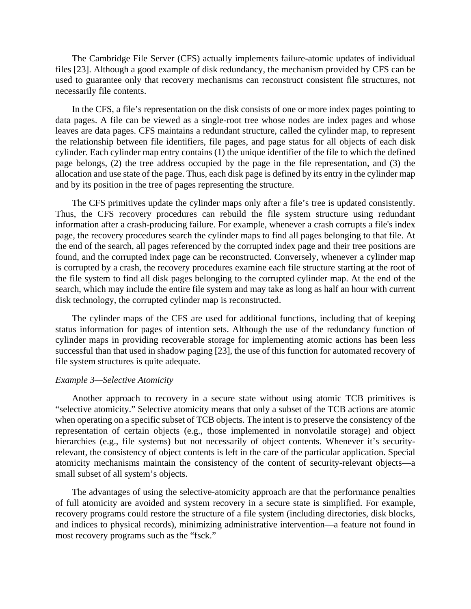The Cambridge File Server (CFS) actually implements failure-atomic updates of individual files [23]. Although a good example of disk redundancy, the mechanism provided by CFS can be used to guarantee only that recovery mechanisms can reconstruct consistent file structures, not necessarily file contents.

In the CFS, a file's representation on the disk consists of one or more index pages pointing to data pages. A file can be viewed as a single-root tree whose nodes are index pages and whose leaves are data pages. CFS maintains a redundant structure, called the cylinder map, to represent the relationship between file identifiers, file pages, and page status for all objects of each disk cylinder. Each cylinder map entry contains (1) the unique identifier of the file to which the defined page belongs, (2) the tree address occupied by the page in the file representation, and (3) the allocation and use state of the page. Thus, each disk page is defined by its entry in the cylinder map and by its position in the tree of pages representing the structure.

The CFS primitives update the cylinder maps only after a file's tree is updated consistently. Thus, the CFS recovery procedures can rebuild the file system structure using redundant information after a crash-producing failure. For example, whenever a crash corrupts a file's index page, the recovery procedures search the cylinder maps to find all pages belonging to that file. At the end of the search, all pages referenced by the corrupted index page and their tree positions are found, and the corrupted index page can be reconstructed. Conversely, whenever a cylinder map is corrupted by a crash, the recovery procedures examine each file structure starting at the root of the file system to find all disk pages belonging to the corrupted cylinder map. At the end of the search, which may include the entire file system and may take as long as half an hour with current disk technology, the corrupted cylinder map is reconstructed.

The cylinder maps of the CFS are used for additional functions, including that of keeping status information for pages of intention sets. Although the use of the redundancy function of cylinder maps in providing recoverable storage for implementing atomic actions has been less successful than that used in shadow paging [23], the use of this function for automated recovery of file system structures is quite adequate.

#### *Example 3—Selective Atomicity*

Another approach to recovery in a secure state without using atomic TCB primitives is "selective atomicity." Selective atomicity means that only a subset of the TCB actions are atomic when operating on a specific subset of TCB objects. The intent is to preserve the consistency of the representation of certain objects (e.g., those implemented in nonvolatile storage) and object hierarchies (e.g., file systems) but not necessarily of object contents. Whenever it's securityrelevant, the consistency of object contents is left in the care of the particular application. Special atomicity mechanisms maintain the consistency of the content of security-relevant objects—a small subset of all system's objects.

The advantages of using the selective-atomicity approach are that the performance penalties of full atomicity are avoided and system recovery in a secure state is simplified. For example, recovery programs could restore the structure of a file system (including directories, disk blocks, and indices to physical records), minimizing administrative intervention—a feature not found in most recovery programs such as the "fsck."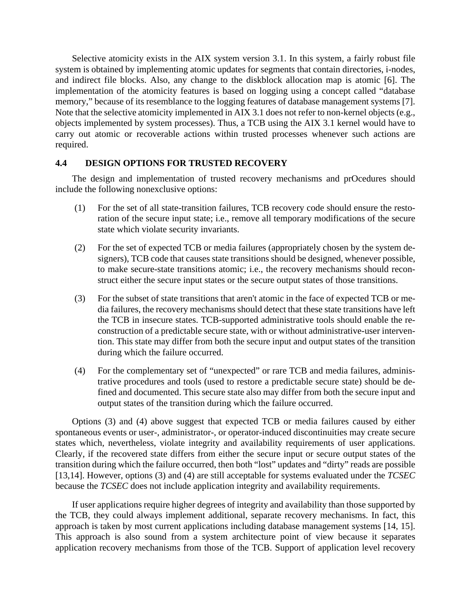Selective atomicity exists in the AIX system version 3.1. In this system, a fairly robust file system is obtained by implementing atomic updates for segments that contain directories, i-nodes, and indirect file blocks. Also, any change to the diskblock allocation map is atomic [6]. The implementation of the atomicity features is based on logging using a concept called "database memory," because of its resemblance to the logging features of database management systems [7]. Note that the selective atomicity implemented in AIX 3.1 does not refer to non-kernel objects (e.g., objects implemented by system processes). Thus, a TCB using the AIX 3.1 kernel would have to carry out atomic or recoverable actions within trusted processes whenever such actions are required.

## **4.4 DESIGN OPTIONS FOR TRUSTED RECOVERY**

The design and implementation of trusted recovery mechanisms and prOcedures should include the following nonexclusive options:

- (1) For the set of all state-transition failures, TCB recovery code should ensure the restoration of the secure input state; i.e., remove all temporary modifications of the secure state which violate security invariants.
- (2) For the set of expected TCB or media failures (appropriately chosen by the system designers), TCB code that causes state transitions should be designed, whenever possible, to make secure-state transitions atomic; i.e., the recovery mechanisms should reconstruct either the secure input states or the secure output states of those transitions.
- (3) For the subset of state transitions that aren't atomic in the face of expected TCB or media failures, the recovery mechanisms should detect that these state transitions have left the TCB in insecure states. TCB-supported administrative tools should enable the reconstruction of a predictable secure state, with or without administrative-user intervention. This state may differ from both the secure input and output states of the transition during which the failure occurred.
- (4) For the complementary set of "unexpected" or rare TCB and media failures, administrative procedures and tools (used to restore a predictable secure state) should be defined and documented. This secure state also may differ from both the secure input and output states of the transition during which the failure occurred.

Options (3) and (4) above suggest that expected TCB or media failures caused by either spontaneous events or user-, administrator-, or operator-induced discontinuities may create secure states which, nevertheless, violate integrity and availability requirements of user applications. Clearly, if the recovered state differs from either the secure input or secure output states of the transition during which the failure occurred, then both "lost" updates and "dirty" reads are possible [13,14]. However, options (3) and (4) are still acceptable for systems evaluated under the *TCSEC* because the *TCSEC* does not include application integrity and availability requirements.

If user applications require higher degrees of integrity and availability than those supported by the TCB, they could always implement additional, separate recovery mechanisms. In fact, this approach is taken by most current applications including database management systems [14, 15]. This approach is also sound from a system architecture point of view because it separates application recovery mechanisms from those of the TCB. Support of application level recovery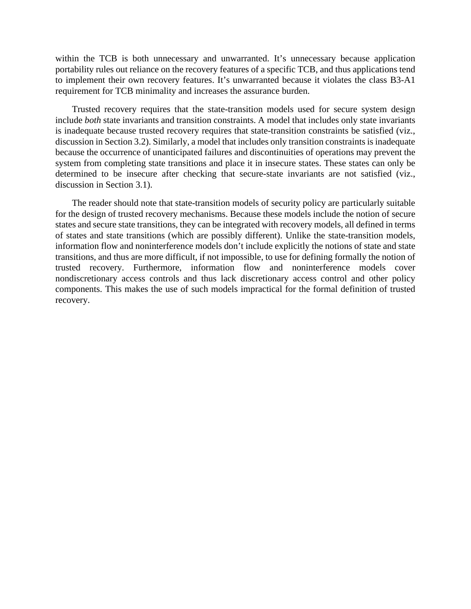within the TCB is both unnecessary and unwarranted. It's unnecessary because application portability rules out reliance on the recovery features of a specific TCB, and thus applications tend to implement their own recovery features. It's unwarranted because it violates the class B3-A1 requirement for TCB minimality and increases the assurance burden.

Trusted recovery requires that the state-transition models used for secure system design include *both* state invariants and transition constraints. A model that includes only state invariants is inadequate because trusted recovery requires that state-transition constraints be satisfied (viz., discussion in Section 3.2). Similarly, a model that includes only transition constraints is inadequate because the occurrence of unanticipated failures and discontinuities of operations may prevent the system from completing state transitions and place it in insecure states. These states can only be determined to be insecure after checking that secure-state invariants are not satisfied (viz., discussion in Section 3.1).

The reader should note that state-transition models of security policy are particularly suitable for the design of trusted recovery mechanisms. Because these models include the notion of secure states and secure state transitions, they can be integrated with recovery models, all defined in terms of states and state transitions (which are possibly different). Unlike the state-transition models, information flow and noninterference models don't include explicitly the notions of state and state transitions, and thus are more difficult, if not impossible, to use for defining formally the notion of trusted recovery. Furthermore, information flow and noninterference models cover nondiscretionary access controls and thus lack discretionary access control and other policy components. This makes the use of such models impractical for the formal definition of trusted recovery.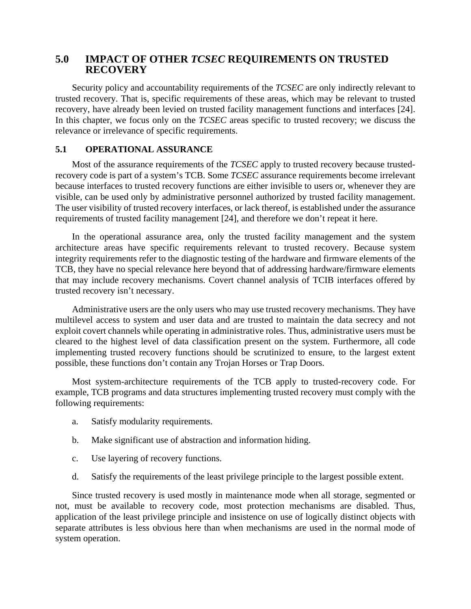## **5.0 IMPACT OF OTHER** *TCSEC* **REQUIREMENTS ON TRUSTED RECOVERY**

Security policy and accountability requirements of the *TCSEC* are only indirectly relevant to trusted recovery. That is, specific requirements of these areas, which may be relevant to trusted recovery, have already been levied on trusted facility management functions and interfaces [24]. In this chapter, we focus only on the *TCSEC* areas specific to trusted recovery; we discuss the relevance or irrelevance of specific requirements.

## **5.1 OPERATIONAL ASSURANCE**

Most of the assurance requirements of the *TCSEC* apply to trusted recovery because trustedrecovery code is part of a system's TCB. Some *TCSEC* assurance requirements become irrelevant because interfaces to trusted recovery functions are either invisible to users or, whenever they are visible, can be used only by administrative personnel authorized by trusted facility management. The user visibility of trusted recovery interfaces, or lack thereof, is established under the assurance requirements of trusted facility management [24], and therefore we don't repeat it here.

In the operational assurance area, only the trusted facility management and the system architecture areas have specific requirements relevant to trusted recovery. Because system integrity requirements refer to the diagnostic testing of the hardware and firmware elements of the TCB, they have no special relevance here beyond that of addressing hardware/firmware elements that may include recovery mechanisms. Covert channel analysis of TCIB interfaces offered by trusted recovery isn't necessary.

Administrative users are the only users who may use trusted recovery mechanisms. They have multilevel access to system and user data and are trusted to maintain the data secrecy and not exploit covert channels while operating in administrative roles. Thus, administrative users must be cleared to the highest level of data classification present on the system. Furthermore, all code implementing trusted recovery functions should be scrutinized to ensure, to the largest extent possible, these functions don't contain any Trojan Horses or Trap Doors.

Most system-architecture requirements of the TCB apply to trusted-recovery code. For example, TCB programs and data structures implementing trusted recovery must comply with the following requirements:

- a. Satisfy modularity requirements.
- b. Make significant use of abstraction and information hiding.
- c. Use layering of recovery functions.
- d. Satisfy the requirements of the least privilege principle to the largest possible extent.

Since trusted recovery is used mostly in maintenance mode when all storage, segmented or not, must be available to recovery code, most protection mechanisms are disabled. Thus, application of the least privilege principle and insistence on use of logically distinct objects with separate attributes is less obvious here than when mechanisms are used in the normal mode of system operation.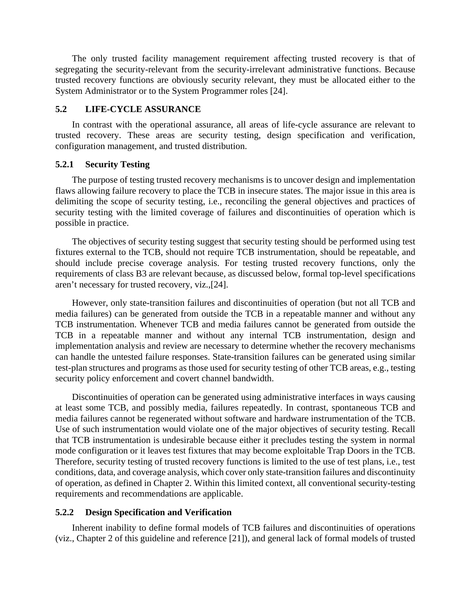The only trusted facility management requirement affecting trusted recovery is that of segregating the security-relevant from the security-irrelevant administrative functions. Because trusted recovery functions are obviously security relevant, they must be allocated either to the System Administrator or to the System Programmer roles [24].

## **5.2 LIFE-CYCLE ASSURANCE**

In contrast with the operational assurance, all areas of life-cycle assurance are relevant to trusted recovery. These areas are security testing, design specification and verification, configuration management, and trusted distribution.

## **5.2.1 Security Testing**

The purpose of testing trusted recovery mechanisms is to uncover design and implementation flaws allowing failure recovery to place the TCB in insecure states. The major issue in this area is delimiting the scope of security testing, i.e., reconciling the general objectives and practices of security testing with the limited coverage of failures and discontinuities of operation which is possible in practice.

The objectives of security testing suggest that security testing should be performed using test fixtures external to the TCB, should not require TCB instrumentation, should be repeatable, and should include precise coverage analysis. For testing trusted recovery functions, only the requirements of class B3 are relevant because, as discussed below, formal top-level specifications aren't necessary for trusted recovery, viz.,[24].

However, only state-transition failures and discontinuities of operation (but not all TCB and media failures) can be generated from outside the TCB in a repeatable manner and without any TCB instrumentation. Whenever TCB and media failures cannot be generated from outside the TCB in a repeatable manner and without any internal TCB instrumentation, design and implementation analysis and review are necessary to determine whether the recovery mechanisms can handle the untested failure responses. State-transition failures can be generated using similar test-plan structures and programs as those used for security testing of other TCB areas, e.g., testing security policy enforcement and covert channel bandwidth.

Discontinuities of operation can be generated using administrative interfaces in ways causing at least some TCB, and possibly media, failures repeatedly. In contrast, spontaneous TCB and media failures cannot be regenerated without software and hardware instrumentation of the TCB. Use of such instrumentation would violate one of the major objectives of security testing. Recall that TCB instrumentation is undesirable because either it precludes testing the system in normal mode configuration or it leaves test fixtures that may become exploitable Trap Doors in the TCB. Therefore, security testing of trusted recovery functions is limited to the use of test plans, i.e., test conditions, data, and coverage analysis, which cover only state-transition failures and discontinuity of operation, as defined in Chapter 2. Within this limited context, all conventional security-testing requirements and recommendations are applicable.

## **5.2.2 Design Specification and Verification**

Inherent inability to define formal models of TCB failures and discontinuities of operations (viz., Chapter 2 of this guideline and reference [21]), and general lack of formal models of trusted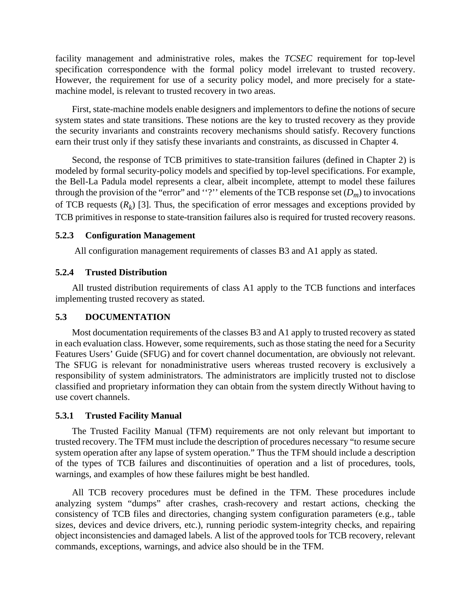facility management and administrative roles, makes the *TCSEC* requirement for top-level specification correspondence with the formal policy model irrelevant to trusted recovery. However, the requirement for use of a security policy model, and more precisely for a statemachine model, is relevant to trusted recovery in two areas.

First, state-machine models enable designers and implementors to define the notions of secure system states and state transitions. These notions are the key to trusted recovery as they provide the security invariants and constraints recovery mechanisms should satisfy. Recovery functions earn their trust only if they satisfy these invariants and constraints, as discussed in Chapter 4.

Second, the response of TCB primitives to state-transition failures (defined in Chapter 2) is modeled by formal security-policy models and specified by top-level specifications. For example, the Bell-La Padula model represents a clear, albeit incomplete, attempt to model these failures through the provision of the "error" and "?" elements of the TCB response set  $(D_m)$  to invocations of TCB requests  $(R_k)$  [3]. Thus, the specification of error messages and exceptions provided by TCB primitives in response to state-transition failures also is required for trusted recovery reasons.

## **5.2.3 Configuration Management**

All configuration management requirements of classes B3 and A1 apply as stated.

## **5.2.4 Trusted Distribution**

All trusted distribution requirements of class A1 apply to the TCB functions and interfaces implementing trusted recovery as stated.

## **5.3 DOCUMENTATION**

Most documentation requirements of the classes B3 and A1 apply to trusted recovery as stated in each evaluation class. However, some requirements, such as those stating the need for a Security Features Users' Guide (SFUG) and for covert channel documentation, are obviously not relevant. The SFUG is relevant for nonadministrative users whereas trusted recovery is exclusively a responsibility of system administrators. The administrators are implicitly trusted not to disclose classified and proprietary information they can obtain from the system directly Without having to use covert channels.

### **5.3.1 Trusted Facility Manual**

The Trusted Facility Manual (TFM) requirements are not only relevant but important to trusted recovery. The TFM must include the description of procedures necessary "to resume secure system operation after any lapse of system operation." Thus the TFM should include a description of the types of TCB failures and discontinuities of operation and a list of procedures, tools, warnings, and examples of how these failures might be best handled.

All TCB recovery procedures must be defined in the TFM. These procedures include analyzing system "dumps" after crashes, crash-recovery and restart actions, checking the consistency of TCB files and directories, changing system configuration parameters (e.g., table sizes, devices and device drivers, etc.), running periodic system-integrity checks, and repairing object inconsistencies and damaged labels. A list of the approved tools for TCB recovery, relevant commands, exceptions, warnings, and advice also should be in the TFM.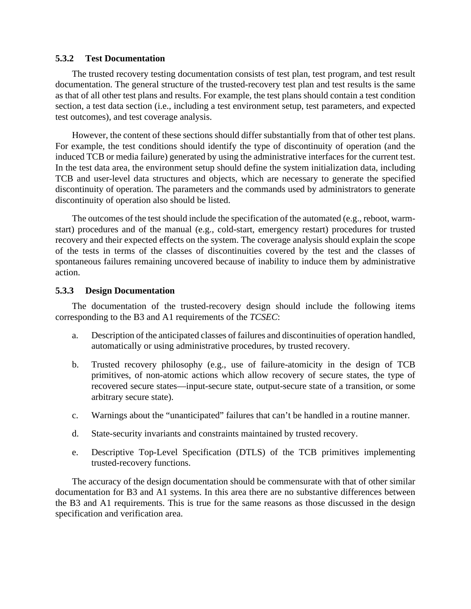### **5.3.2 Test Documentation**

The trusted recovery testing documentation consists of test plan, test program, and test result documentation. The general structure of the trusted-recovery test plan and test results is the same as that of all other test plans and results. For example, the test plans should contain a test condition section, a test data section (i.e., including a test environment setup, test parameters, and expected test outcomes), and test coverage analysis.

However, the content of these sections should differ substantially from that of other test plans. For example, the test conditions should identify the type of discontinuity of operation (and the induced TCB or media failure) generated by using the administrative interfaces for the current test. In the test data area, the environment setup should define the system initialization data, including TCB and user-level data structures and objects, which are necessary to generate the specified discontinuity of operation. The parameters and the commands used by administrators to generate discontinuity of operation also should be listed.

The outcomes of the test should include the specification of the automated (e.g., reboot, warmstart) procedures and of the manual (e.g., cold-start, emergency restart) procedures for trusted recovery and their expected effects on the system. The coverage analysis should explain the scope of the tests in terms of the classes of discontinuities covered by the test and the classes of spontaneous failures remaining uncovered because of inability to induce them by administrative action.

## **5.3.3 Design Documentation**

The documentation of the trusted-recovery design should include the following items corresponding to the B3 and A1 requirements of the *TCSEC*:

- a. Description of the anticipated classes of failures and discontinuities of operation handled, automatically or using administrative procedures, by trusted recovery.
- b. Trusted recovery philosophy (e.g., use of failure-atomicity in the design of TCB primitives, of non-atomic actions which allow recovery of secure states, the type of recovered secure states—input-secure state, output-secure state of a transition, or some arbitrary secure state).
- c. Warnings about the "unanticipated" failures that can't be handled in a routine manner.
- d. State-security invariants and constraints maintained by trusted recovery.
- e. Descriptive Top-Level Specification (DTLS) of the TCB primitives implementing trusted-recovery functions.

The accuracy of the design documentation should be commensurate with that of other similar documentation for B3 and A1 systems. In this area there are no substantive differences between the B3 and A1 requirements. This is true for the same reasons as those discussed in the design specification and verification area.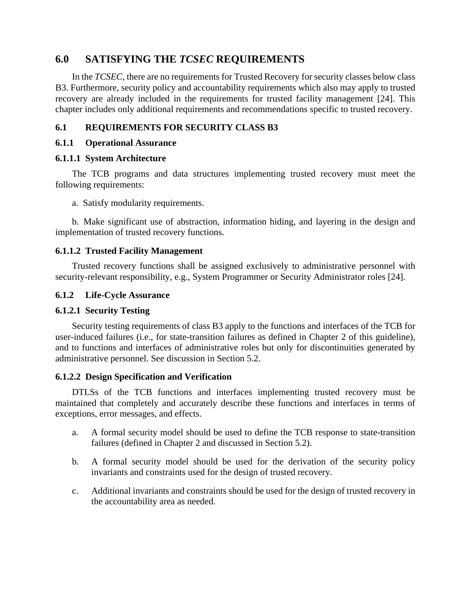# **6.0 SATISFYING THE** *TCSEC* **REQUIREMENTS**

In the *TCSEC*, there are no requirements for Trusted Recovery for security classes below class B3. Furthermore, security policy and accountability requirements which also may apply to trusted recovery are already included in the requirements for trusted facility management [24]. This chapter includes only additional requirements and recommendations specific to trusted recovery.

## **6.1 REQUIREMENTS FOR SECURITY CLASS B3**

## **6.1.1 Operational Assurance**

## **6.1.1.1 System Architecture**

The TCB programs and data structures implementing trusted recovery must meet the following requirements:

a. Satisfy modularity requirements.

b. Make significant use of abstraction, information hiding, and layering in the design and implementation of trusted recovery functions.

## **6.1.1.2 Trusted Facility Management**

Trusted recovery functions shall be assigned exclusively to administrative personnel with security-relevant responsibility, e.g., System Programmer or Security Administrator roles [24].

## **6.1.2 Life-Cycle Assurance**

## **6.1.2.1 Security Testing**

Security testing requirements of class B3 apply to the functions and interfaces of the TCB for user-induced failures (i.e., for state-transition failures as defined in Chapter 2 of this guideline), and to functions and interfaces of administrative roles but only for discontinuities generated by administrative personnel. See discussion in Section 5.2.

## **6.1.2.2 Design Specification and Verification**

DTLSs of the TCB functions and interfaces implementing trusted recovery must be maintained that completely and accurately describe these functions and interfaces in terms of exceptions, error messages, and effects.

- a. A formal security model should be used to define the TCB response to state-transition failures (defined in Chapter 2 and discussed in Section 5.2).
- b. A formal security model should be used for the derivation of the security policy invariants and constraints used for the design of trusted recovery.
- c. Additional invariants and constraints should be used for the design of trusted recovery in the accountability area as needed.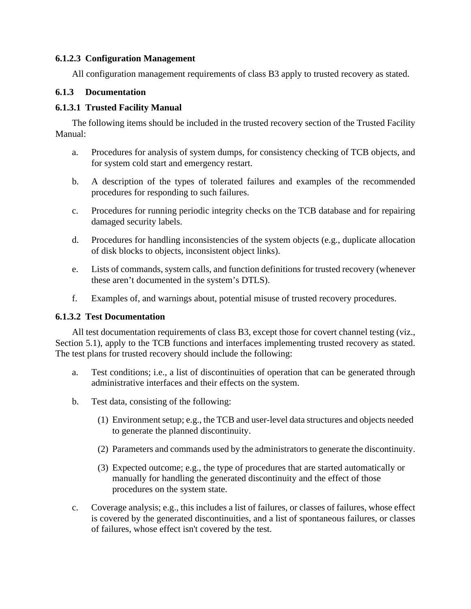## **6.1.2.3 Configuration Management**

All configuration management requirements of class B3 apply to trusted recovery as stated.

## **6.1.3 Documentation**

## **6.1.3.1 Trusted Facility Manual**

The following items should be included in the trusted recovery section of the Trusted Facility Manual:

- a. Procedures for analysis of system dumps, for consistency checking of TCB objects, and for system cold start and emergency restart.
- b. A description of the types of tolerated failures and examples of the recommended procedures for responding to such failures.
- c. Procedures for running periodic integrity checks on the TCB database and for repairing damaged security labels.
- d. Procedures for handling inconsistencies of the system objects (e.g., duplicate allocation of disk blocks to objects, inconsistent object links).
- e. Lists of commands, system calls, and function definitions for trusted recovery (whenever these aren't documented in the system's DTLS).
- f. Examples of, and warnings about, potential misuse of trusted recovery procedures.

## **6.1.3.2 Test Documentation**

All test documentation requirements of class B3, except those for covert channel testing (viz., Section 5.1), apply to the TCB functions and interfaces implementing trusted recovery as stated. The test plans for trusted recovery should include the following:

- a. Test conditions; i.e., a list of discontinuities of operation that can be generated through administrative interfaces and their effects on the system.
- b. Test data, consisting of the following:
	- (1) Environment setup; e.g., the TCB and user-level data structures and objects needed to generate the planned discontinuity.
	- (2) Parameters and commands used by the administrators to generate the discontinuity.
	- (3) Expected outcome; e.g., the type of procedures that are started automatically or manually for handling the generated discontinuity and the effect of those procedures on the system state.
- c. Coverage analysis; e.g., this includes a list of failures, or classes of failures, whose effect is covered by the generated discontinuities, and a list of spontaneous failures, or classes of failures, whose effect isn't covered by the test.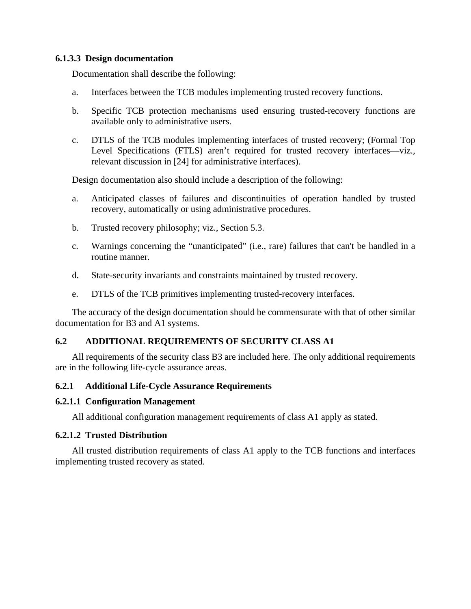## **6.1.3.3 Design documentation**

Documentation shall describe the following:

- a. Interfaces between the TCB modules implementing trusted recovery functions.
- b. Specific TCB protection mechanisms used ensuring trusted-recovery functions are available only to administrative users.
- c. DTLS of the TCB modules implementing interfaces of trusted recovery; (Formal Top Level Specifications (FTLS) aren't required for trusted recovery interfaces—viz., relevant discussion in [24] for administrative interfaces).

Design documentation also should include a description of the following:

- a. Anticipated classes of failures and discontinuities of operation handled by trusted recovery, automatically or using administrative procedures.
- b. Trusted recovery philosophy; viz., Section 5.3.
- c. Warnings concerning the "unanticipated" (i.e., rare) failures that can't be handled in a routine manner.
- d. State-security invariants and constraints maintained by trusted recovery.
- e. DTLS of the TCB primitives implementing trusted-recovery interfaces.

The accuracy of the design documentation should be commensurate with that of other similar documentation for B3 and A1 systems.

## **6.2 ADDITIONAL REQUIREMENTS OF SECURITY CLASS A1**

All requirements of the security class B3 are included here. The only additional requirements are in the following life-cycle assurance areas.

## **6.2.1 Additional Life-Cycle Assurance Requirements**

### **6.2.1.1 Configuration Management**

All additional configuration management requirements of class A1 apply as stated.

### **6.2.1.2 Trusted Distribution**

All trusted distribution requirements of class A1 apply to the TCB functions and interfaces implementing trusted recovery as stated.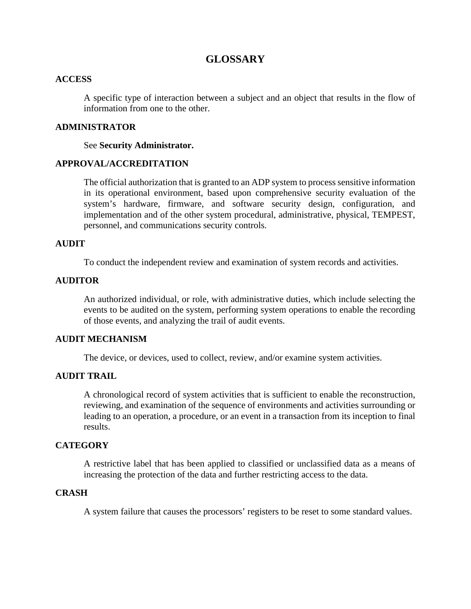# **GLOSSARY**

### **ACCESS**

A specific type of interaction between a subject and an object that results in the flow of information from one to the other.

## **ADMINISTRATOR**

See **Security Administrator.**

## **APPROVAL/ACCREDITATION**

The official authorization that is granted to an ADP system to process sensitive information in its operational environment, based upon comprehensive security evaluation of the system's hardware, firmware, and software security design, configuration, and implementation and of the other system procedural, administrative, physical, TEMPEST, personnel, and communications security controls.

## **AUDIT**

To conduct the independent review and examination of system records and activities.

## **AUDITOR**

An authorized individual, or role, with administrative duties, which include selecting the events to be audited on the system, performing system operations to enable the recording of those events, and analyzing the trail of audit events.

## **AUDIT MECHANISM**

The device, or devices, used to collect, review, and/or examine system activities.

## **AUDIT TRAIL**

A chronological record of system activities that is sufficient to enable the reconstruction, reviewing, and examination of the sequence of environments and activities surrounding or leading to an operation, a procedure, or an event in a transaction from its inception to final results.

## **CATEGORY**

A restrictive label that has been applied to classified or unclassified data as a means of increasing the protection of the data and further restricting access to the data.

## **CRASH**

A system failure that causes the processors' registers to be reset to some standard values.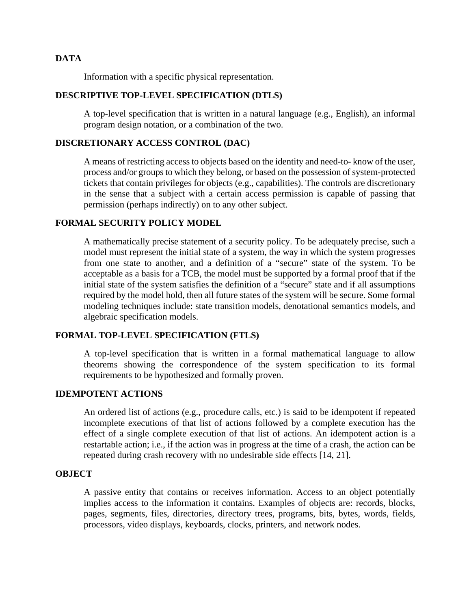## **DATA**

Information with a specific physical representation.

## **DESCRIPTIVE TOP-LEVEL SPECIFICATION (DTLS)**

A top-level specification that is written in a natural language (e.g., English), an informal program design notation, or a combination of the two.

### **DISCRETIONARY ACCESS CONTROL (DAC)**

A means of restricting access to objects based on the identity and need-to- know of the user, process and/or groups to which they belong, or based on the possession of system-protected tickets that contain privileges for objects (e.g., capabilities). The controls are discretionary in the sense that a subject with a certain access permission is capable of passing that permission (perhaps indirectly) on to any other subject.

## **FORMAL SECURITY POLICY MODEL**

A mathematically precise statement of a security policy. To be adequately precise, such a model must represent the initial state of a system, the way in which the system progresses from one state to another, and a definition of a "secure" state of the system. To be acceptable as a basis for a TCB, the model must be supported by a formal proof that if the initial state of the system satisfies the definition of a "secure" state and if all assumptions required by the model hold, then all future states of the system will be secure. Some formal modeling techniques include: state transition models, denotational semantics models, and algebraic specification models.

## **FORMAL TOP-LEVEL SPECIFICATION (FTLS)**

A top-level specification that is written in a formal mathematical language to allow theorems showing the correspondence of the system specification to its formal requirements to be hypothesized and formally proven.

## **IDEMPOTENT ACTIONS**

An ordered list of actions (e.g., procedure calls, etc.) is said to be idempotent if repeated incomplete executions of that list of actions followed by a complete execution has the effect of a single complete execution of that list of actions. An idempotent action is a restartable action; i.e., if the action was in progress at the time of a crash, the action can be repeated during crash recovery with no undesirable side effects [14, 21].

## **OBJECT**

A passive entity that contains or receives information. Access to an object potentially implies access to the information it contains. Examples of objects are: records, blocks, pages, segments, files, directories, directory trees, programs, bits, bytes, words, fields, processors, video displays, keyboards, clocks, printers, and network nodes.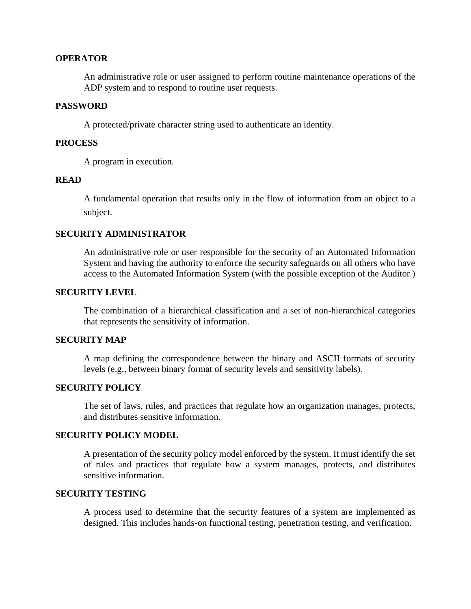### **OPERATOR**

An administrative role or user assigned to perform routine maintenance operations of the ADP system and to respond to routine user requests.

### **PASSWORD**

A protected/private character string used to authenticate an identity.

#### **PROCESS**

A program in execution.

### **READ**

A fundamental operation that results only in the flow of information from an object to a subject.

### **SECURITY ADMINISTRATOR**

An administrative role or user responsible for the security of an Automated Information System and having the authority to enforce the security safeguards on all others who have access to the Automated Information System (with the possible exception of the Auditor.)

## **SECURITY LEVEL**

The combination of a hierarchical classification and a set of non-hierarchical categories that represents the sensitivity of information.

## **SECURITY MAP**

A map defining the correspondence between the binary and ASCII formats of security levels (e.g., between binary format of security levels and sensitivity labels).

## **SECURITY POLICY**

The set of laws, rules, and practices that regulate how an organization manages, protects, and distributes sensitive information.

#### **SECURITY POLICY MODEL**

A presentation of the security policy model enforced by the system. It must identify the set of rules and practices that regulate how a system manages, protects, and distributes sensitive information.

#### **SECURITY TESTING**

A process used to determine that the security features of a system are implemented as designed. This includes hands-on functional testing, penetration testing, and verification.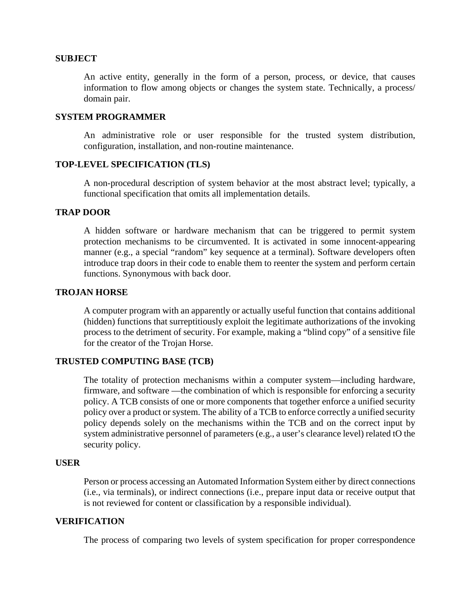#### **SUBJECT**

An active entity, generally in the form of a person, process, or device, that causes information to flow among objects or changes the system state. Technically, a process/ domain pair.

#### **SYSTEM PROGRAMMER**

An administrative role or user responsible for the trusted system distribution, configuration, installation, and non-routine maintenance.

## **TOP-LEVEL SPECIFICATION (TLS)**

A non-procedural description of system behavior at the most abstract level; typically, a functional specification that omits all implementation details.

## **TRAP DOOR**

A hidden software or hardware mechanism that can be triggered to permit system protection mechanisms to be circumvented. It is activated in some innocent-appearing manner (e.g., a special "random" key sequence at a terminal). Software developers often introduce trap doors in their code to enable them to reenter the system and perform certain functions. Synonymous with back door.

## **TROJAN HORSE**

A computer program with an apparently or actually useful function that contains additional (hidden) functions that surreptitiously exploit the legitimate authorizations of the invoking process to the detriment of security. For example, making a "blind copy" of a sensitive file for the creator of the Trojan Horse.

#### **TRUSTED COMPUTING BASE (TCB)**

The totality of protection mechanisms within a computer system—including hardware, firmware, and software —the combination of which is responsible for enforcing a security policy. A TCB consists of one or more components that together enforce a unified security policy over a product or system. The ability of a TCB to enforce correctly a unified security policy depends solely on the mechanisms within the TCB and on the correct input by system administrative personnel of parameters (e.g., a user's clearance level) related tO the security policy.

### **USER**

Person or process accessing an Automated Information System either by direct connections (i.e., via terminals), or indirect connections (i.e., prepare input data or receive output that is not reviewed for content or classification by a responsible individual).

## **VERIFICATION**

The process of comparing two levels of system specification for proper correspondence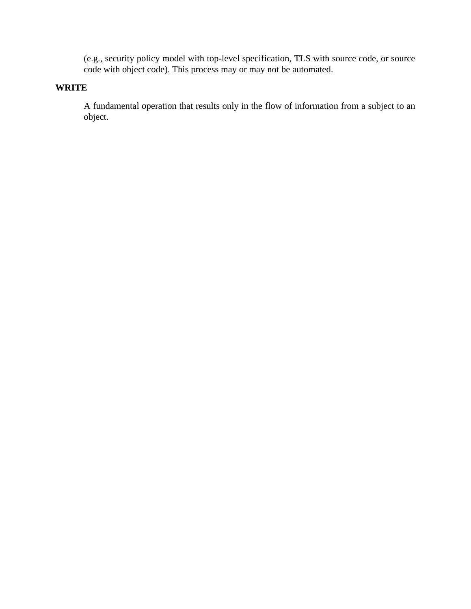(e.g., security policy model with top-level specification, TLS with source code, or source code with object code). This process may or may not be automated.

## **WRITE**

A fundamental operation that results only in the flow of information from a subject to an object.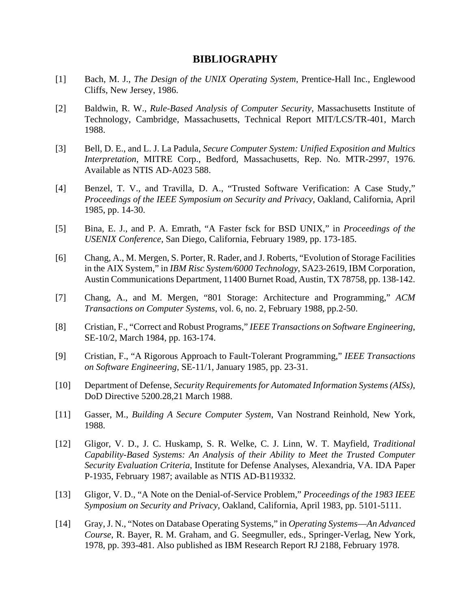## **BIBLIOGRAPHY**

- [1] Bach, M. J., *The Design of the UNIX Operating System*, Prentice-Hall Inc., Englewood Cliffs, New Jersey, 1986.
- [2] Baldwin, R. W., *Rule-Based Analysis of Computer Security*, Massachusetts Institute of Technology, Cambridge, Massachusetts, Technical Report MIT/LCS/TR-401, March 1988.
- [3] Bell, D. E., and L. J. La Padula, *Secure Computer System: Unified Exposition and Multics Interpretation*, MITRE Corp., Bedford, Massachusetts, Rep. No. MTR-2997, 1976. Available as NTIS AD-A023 588.
- [4] Benzel, T. V., and Travilla, D. A., "Trusted Software Verification: A Case Study," *Proceedings of the IEEE Symposium on Security and Privacy*, Oakland, California, April 1985, pp. 14-30.
- [5] Bina, E. J., and P. A. Emrath, "A Faster fsck for BSD UNIX," in *Proceedings of the USENIX Conference*, San Diego, California, February 1989, pp. 173-185.
- [6] Chang, A., M. Mergen, S. Porter, R. Rader, and J. Roberts, "Evolution of Storage Facilities in the AIX System," in *IBM Risc System/6000 Technology*, SA23-2619, IBM Corporation, Austin Communications Department, 11400 Burnet Road, Austin, TX 78758, pp. 138-142.
- [7] Chang, A., and M. Mergen, "801 Storage: Architecture and Programming," *ACM Transactions on Computer Systems*, vol. 6, no. 2, February 1988, pp.2-50.
- [8] Cristian, F., "Correct and Robust Programs," *IEEE Transactions on Software Engineering*, SE-10/2, March 1984, pp. 163-174.
- [9] Cristian, F., "A Rigorous Approach to Fault-Tolerant Programming," *IEEE Transactions on Software Engineering*, SE-11/1, January 1985, pp. 23-31.
- [10] Department of Defense, *Security Requirements for Automated Information Systems (AISs)*, DoD Directive 5200.28,21 March 1988.
- [11] Gasser, M., *Building A Secure Computer System*, Van Nostrand Reinhold, New York, 1988.
- [12] Gligor, V. D., J. C. Huskamp, S. R. Welke, C. J. Linn, W. T. Mayfield, *Traditional Capability-Based Systems: An Analysis of their Ability to Meet the Trusted Computer Security Evaluation Criteria*, Institute for Defense Analyses, Alexandria, VA. IDA Paper P-1935, February 1987; available as NTIS AD-B119332.
- [13] Gligor, V. D., "A Note on the Denial-of-Service Problem," *Proceedings of the 1983 IEEE Symposium on Security and Privacy*, Oakland, California, April 1983, pp. 5101-5111.
- [14] Gray, J. N., "Notes on Database Operating Systems," in *Operating Systems*—*An Advanced Course*, R. Bayer, R. M. Graham, and G. Seegmuller, eds., Springer-Verlag, New York, 1978, pp. 393-481. Also published as IBM Research Report RJ 2188, February 1978.